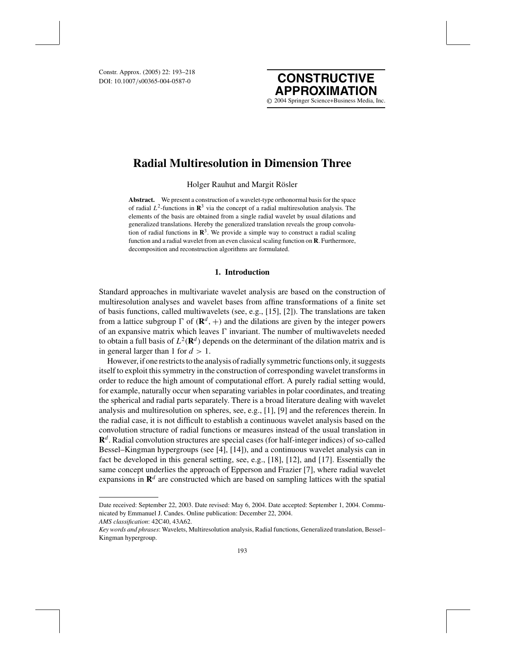DOI: 10.1007/s00365-004-0587-0



# **Radial Multiresolution in Dimension Three**

Holger Rauhut and Margit Rösler

**Abstract.** We present a construction of a wavelet-type orthonormal basis for the space of radial  $L^2$ -functions in  $\mathbb{R}^3$  via the concept of a radial multiresolution analysis. The elements of the basis are obtained from a single radial wavelet by usual dilations and generalized translations. Hereby the generalized translation reveals the group convolution of radial functions in  $\mathbb{R}^3$ . We provide a simple way to construct a radial scaling function and a radial wavelet from an even classical scaling function on **R**. Furthermore, decomposition and reconstruction algorithms are formulated.

## **1. Introduction**

Standard approaches in multivariate wavelet analysis are based on the construction of multiresolution analyses and wavelet bases from affine transformations of a finite set of basis functions, called multiwavelets (see, e.g., [15], [2]). The translations are taken from a lattice subgroup  $\Gamma$  of  $(\mathbf{R}^d, +)$  and the dilations are given by the integer powers of an expansive matrix which leaves  $\Gamma$  invariant. The number of multiwavelets needed to obtain a full basis of  $L^2(\mathbf{R}^d)$  depends on the determinant of the dilation matrix and is in general larger than 1 for  $d > 1$ .

However, if one restricts to the analysis of radially symmetric functions only, it suggests itself to exploit this symmetry in the construction of corresponding wavelet transforms in order to reduce the high amount of computational effort. A purely radial setting would, for example, naturally occur when separating variables in polar coordinates, and treating the spherical and radial parts separately. There is a broad literature dealing with wavelet analysis and multiresolution on spheres, see, e.g., [1], [9] and the references therein. In the radial case, it is not difficult to establish a continuous wavelet analysis based on the convolution structure of radial functions or measures instead of the usual translation in **R***<sup>d</sup>* . Radial convolution structures are special cases (for half-integer indices) of so-called Bessel–Kingman hypergroups (see [4], [14]), and a continuous wavelet analysis can in fact be developed in this general setting, see, e.g., [18], [12], and [17]. Essentially the same concept underlies the approach of Epperson and Frazier [7], where radial wavelet expansions in  $\mathbb{R}^d$  are constructed which are based on sampling lattices with the spatial

*AMS classification*: 42C40, 43A62.

Date received: September 22, 2003. Date revised: May 6, 2004. Date accepted: September 1, 2004. Communicated by Emmanuel J. Candes. Online publication: December 22, 2004.

*Key words and phrases*: Wavelets, Multiresolution analysis, Radial functions, Generalized translation, Bessel– Kingman hypergroup.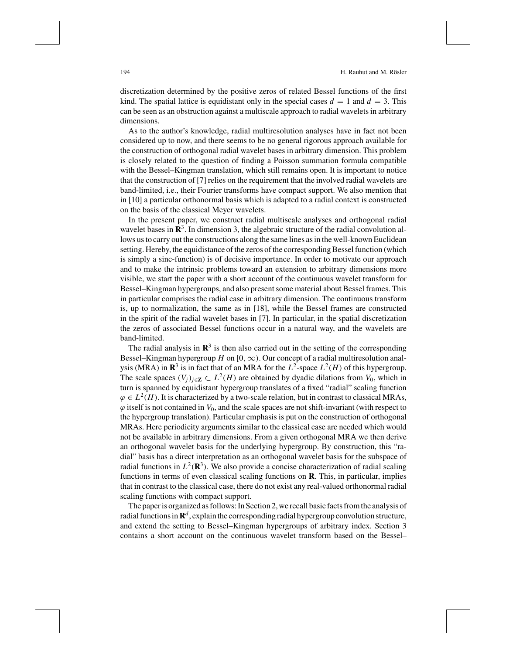discretization determined by the positive zeros of related Bessel functions of the first kind. The spatial lattice is equidistant only in the special cases  $d = 1$  and  $d = 3$ . This can be seen as an obstruction against a multiscale approach to radial wavelets in arbitrary dimensions.

As to the author's knowledge, radial multiresolution analyses have in fact not been considered up to now, and there seems to be no general rigorous approach available for the construction of orthogonal radial wavelet bases in arbitrary dimension. This problem is closely related to the question of finding a Poisson summation formula compatible with the Bessel–Kingman translation, which still remains open. It is important to notice that the construction of [7] relies on the requirement that the involved radial wavelets are band-limited, i.e., their Fourier transforms have compact support. We also mention that in [10] a particular orthonormal basis which is adapted to a radial context is constructed on the basis of the classical Meyer wavelets.

In the present paper, we construct radial multiscale analyses and orthogonal radial wavelet bases in  $\mathbb{R}^3$ . In dimension 3, the algebraic structure of the radial convolution allows us to carry out the constructions along the same lines as in the well-known Euclidean setting. Hereby, the equidistance of the zeros of the corresponding Bessel function (which is simply a sinc-function) is of decisive importance. In order to motivate our approach and to make the intrinsic problems toward an extension to arbitrary dimensions more visible, we start the paper with a short account of the continuous wavelet transform for Bessel–Kingman hypergroups, and also present some material about Bessel frames. This in particular comprises the radial case in arbitrary dimension. The continuous transform is, up to normalization, the same as in [18], while the Bessel frames are constructed in the spirit of the radial wavelet bases in [7]. In particular, in the spatial discretization the zeros of associated Bessel functions occur in a natural way, and the wavelets are band-limited.

The radial analysis in  $\mathbb{R}^3$  is then also carried out in the setting of the corresponding Bessel–Kingman hypergroup *H* on [0,  $\infty$ ). Our concept of a radial multiresolution analysis (MRA) in  $\mathbb{R}^3$  is in fact that of an MRA for the  $L^2$ -space  $L^2(H)$  of this hypergroup. The scale spaces  $(V_i)_{i \in \mathbb{Z}} \subset L^2(H)$  are obtained by dyadic dilations from  $V_0$ , which in turn is spanned by equidistant hypergroup translates of a fixed "radial" scaling function  $\varphi \in L^2(H)$ . It is characterized by a two-scale relation, but in contrast to classical MRAs,  $\varphi$  itself is not contained in  $V_0$ , and the scale spaces are not shift-invariant (with respect to the hypergroup translation). Particular emphasis is put on the construction of orthogonal MRAs. Here periodicity arguments similar to the classical case are needed which would not be available in arbitrary dimensions. From a given orthogonal MRA we then derive an orthogonal wavelet basis for the underlying hypergroup. By construction, this "radial" basis has a direct interpretation as an orthogonal wavelet basis for the subspace of radial functions in  $L^2(\mathbb{R}^3)$ . We also provide a concise characterization of radial scaling functions in terms of even classical scaling functions on **R**. This, in particular, implies that in contrast to the classical case, there do not exist any real-valued orthonormal radial scaling functions with compact support.

The paper is organized as follows: In Section 2, we recall basic facts from the analysis of radial functions in  $\mathbb{R}^d$ , explain the corresponding radial hypergroup convolution structure, and extend the setting to Bessel–Kingman hypergroups of arbitrary index. Section 3 contains a short account on the continuous wavelet transform based on the Bessel–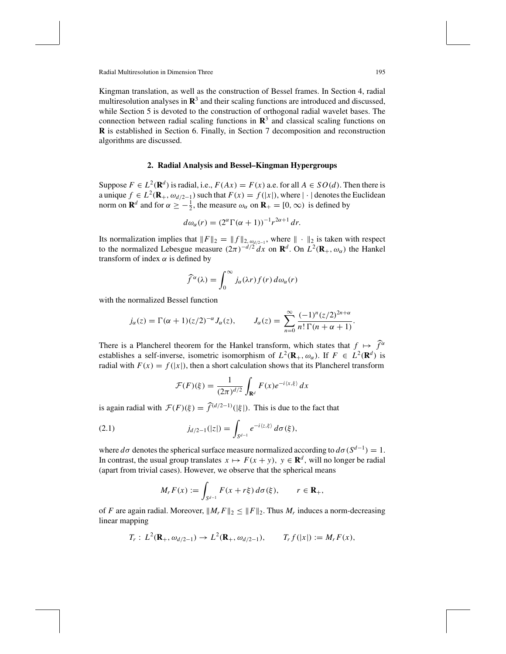Kingman translation, as well as the construction of Bessel frames. In Section 4, radial multiresolution analyses in  $\mathbb{R}^3$  and their scaling functions are introduced and discussed, while Section 5 is devoted to the construction of orthogonal radial wavelet bases. The connection between radial scaling functions in  $\mathbb{R}^3$  and classical scaling functions on **R** is established in Section 6. Finally, in Section 7 decomposition and reconstruction algorithms are discussed.

#### **2. Radial Analysis and Bessel–Kingman Hypergroups**

Suppose  $F \in L^2(\mathbf{R}^d)$  is radial, i.e.,  $F(Ax) = F(x)$  a.e. for all  $A \in SO(d)$ . Then there is a unique  $f \in L^2(\mathbf{R}_+, \omega_{d/2-1})$  such that  $F(x) = f(|x|)$ , where  $|\cdot|$  denotes the Euclidean norm on **R**<sup>*d*</sup> and for  $\alpha \ge -\frac{1}{2}$ , the measure  $\omega_{\alpha}$  on **R**<sub>+</sub> = [0,  $\infty$ ) is defined by

$$
d\omega_{\alpha}(r) = (2^{\alpha} \Gamma(\alpha + 1))^{-1} r^{2\alpha + 1} dr.
$$

Its normalization implies that  $||F||_2 = ||f||_{2, \omega_{d/2-1}}$ , where  $|| \cdot ||_2$  is taken with respect to the normalized Lebesgue measure  $(2\pi)^{-d/2}dx$  on  $\mathbf{R}^d$ . On  $L^2(\mathbf{R}_+,\omega_\alpha)$  the Hankel transform of index  $\alpha$  is defined by

$$
\widehat{f}^{\alpha}(\lambda) = \int_0^{\infty} j_{\alpha}(\lambda r) f(r) d\omega_{\alpha}(r)
$$

with the normalized Bessel function

$$
j_{\alpha}(z) = \Gamma(\alpha+1)(z/2)^{-\alpha} J_{\alpha}(z), \qquad J_{\alpha}(z) = \sum_{n=0}^{\infty} \frac{(-1)^n (z/2)^{2n+\alpha}}{n! \Gamma(n+\alpha+1)}.
$$

There is a Plancherel theorem for the Hankel transform, which states that  $f \mapsto \hat{f}^{\alpha}$ establishes a self-inverse, isometric isomorphism of  $L^2(\mathbf{R}_+,\omega_\alpha)$ . If  $F \in L^2(\mathbf{R}^d)$  is radial with  $F(x) = f(|x|)$ , then a short calculation shows that its Plancherel transform

$$
\mathcal{F}(F)(\xi) = \frac{1}{(2\pi)^{d/2}} \int_{\mathbf{R}^d} F(x) e^{-i\langle x, \xi \rangle} dx
$$

is again radial with  $\mathcal{F}(F)(\xi) = \widehat{f}^{(d/2-1)}(|\xi|)$ . This is due to the fact that

(2.1) 
$$
j_{d/2-1}(|z|) = \int_{S^{d-1}} e^{-i\langle z,\xi \rangle} d\sigma(\xi),
$$

where  $d\sigma$  denotes the spherical surface measure normalized according to  $d\sigma(S^{d-1}) = 1$ . In contrast, the usual group translates  $x \mapsto F(x + y)$ ,  $y \in \mathbb{R}^d$ , will no longer be radial (apart from trivial cases). However, we observe that the spherical means

$$
M_r F(x) := \int_{S^{d-1}} F(x+r\xi) d\sigma(\xi), \qquad r \in \mathbf{R}_+,
$$

of *F* are again radial. Moreover,  $||M_r F||_2 \le ||F||_2$ . Thus  $M_r$  induces a norm-decreasing linear mapping

$$
T_r: L^2(\mathbf{R}_+, \omega_{d/2-1}) \to L^2(\mathbf{R}_+, \omega_{d/2-1}), \qquad T_r f(|x|) := M_r F(x),
$$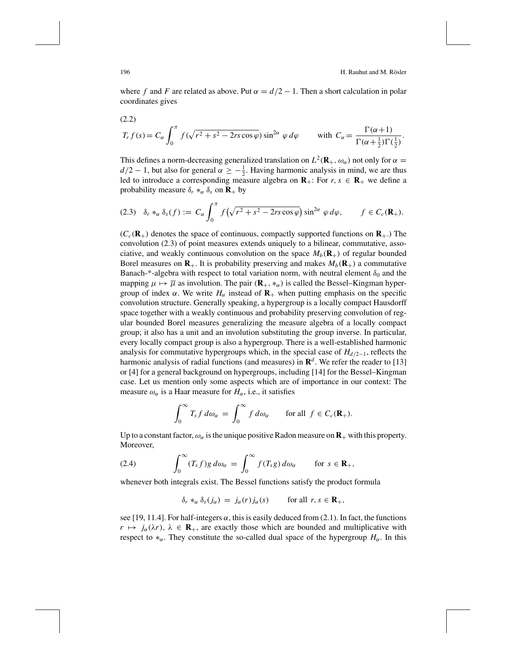where *f* and *F* are related as above. Put  $\alpha = d/2 - 1$ . Then a short calculation in polar coordinates gives

(2.2)  
\n
$$
T_r f(s) = C_\alpha \int_0^\pi f(\sqrt{r^2 + s^2 - 2rs \cos \varphi}) \sin^{2\alpha} \varphi d\varphi \quad \text{with } C_\alpha = \frac{\Gamma(\alpha+1)}{\Gamma(\alpha+\frac{1}{2})\Gamma(\frac{1}{2})}.
$$

This defines a norm-decreasing generalized translation on  $L^2(\mathbf{R}_+,\omega_\alpha)$  not only for  $\alpha =$  $d/2 - 1$ , but also for general  $\alpha \ge -\frac{1}{2}$ . Having harmonic analysis in mind, we are thus led to introduce a corresponding measure algebra on  $\mathbf{R}_+$ : For  $r, s \in \mathbf{R}_+$  we define a probability measure  $\delta_r *_{\alpha} \delta_s$  on **R**+ by

$$
(2.3) \quad \delta_r *_\alpha \delta_s(f) := C_\alpha \int_0^\pi f\left(\sqrt{r^2 + s^2 - 2rs\cos\varphi}\right) \sin^{2\alpha}\varphi \,d\varphi, \qquad f \in C_c(\mathbf{R}_+).
$$

 $(C_c(\mathbf{R}_+)$  denotes the space of continuous, compactly supported functions on  $\mathbf{R}_+$ .) The convolution (2.3) of point measures extends uniquely to a bilinear, commutative, associative, and weakly continuous convolution on the space  $M_b(\mathbf{R}_+)$  of regular bounded Borel measures on  $\mathbf{R}_+$ . It is probability preserving and makes  $M_b(\mathbf{R}_+)$  a commutative Banach-\*-algebra with respect to total variation norm, with neutral element  $\delta_0$  and the mapping  $\mu \mapsto \overline{\mu}$  as involution. The pair  $(\mathbf{R}_+, *_{\alpha})$  is called the Bessel–Kingman hypergroup of index  $\alpha$ . We write  $H_{\alpha}$  instead of  $\mathbf{R}_{+}$  when putting emphasis on the specific convolution structure. Generally speaking, a hypergroup is a locally compact Hausdorff space together with a weakly continuous and probability preserving convolution of regular bounded Borel measures generalizing the measure algebra of a locally compact group; it also has a unit and an involution substituting the group inverse. In particular, every locally compact group is also a hypergroup. There is a well-established harmonic analysis for commutative hypergroups which, in the special case of  $H_{d/2-1}$ , reflects the harmonic analysis of radial functions (and measures) in  $\mathbb{R}^d$ . We refer the reader to [13] or [4] for a general background on hypergroups, including [14] for the Bessel–Kingman case. Let us mention only some aspects which are of importance in our context: The measure  $\omega_{\alpha}$  is a Haar measure for  $H_{\alpha}$ , i.e., it satisfies

$$
\int_0^\infty T_s f \, d\omega_\alpha \, = \, \int_0^\infty f \, d\omega_\alpha \qquad \text{for all } f \in C_c(\mathbf{R}_+).
$$

Up to a constant factor,  $\omega_{\alpha}$  is the unique positive Radon measure on  $\mathbf{R}_{+}$  with this property. Moreover,

(2.4) 
$$
\int_0^\infty (T_s f)g \, d\omega_\alpha = \int_0^\infty f(T_s g) \, d\omega_\alpha \quad \text{for } s \in \mathbf{R}_+,
$$

whenever both integrals exist. The Bessel functions satisfy the product formula

$$
\delta_r *_{\alpha} \delta_s(j_{\alpha}) = j_{\alpha}(r) j_{\alpha}(s) \quad \text{for all } r, s \in \mathbf{R}_+,
$$

see [19, 11.4]. For half-integers  $\alpha$ , this is easily deduced from (2.1). In fact, the functions  $r \mapsto j_\alpha(\lambda r)$ ,  $\lambda \in \mathbf{R}_+$ , are exactly those which are bounded and multiplicative with respect to  $*_\alpha$ . They constitute the so-called dual space of the hypergroup  $H_\alpha$ . In this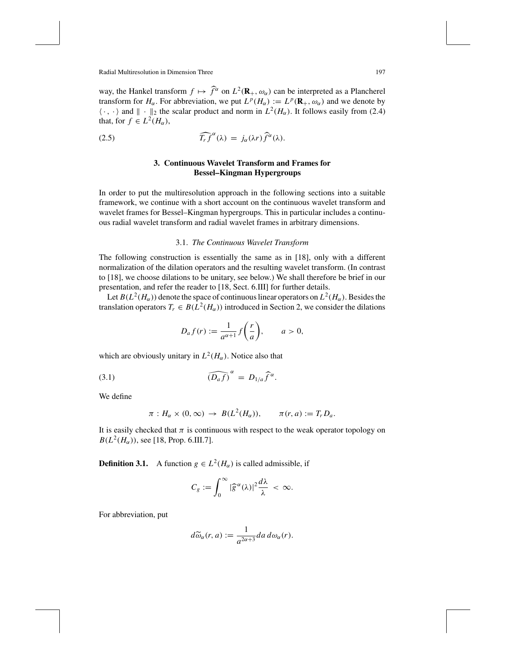way, the Hankel transform  $f \mapsto \hat{f}^{\alpha}$  on  $L^2(\mathbf{R}_+,\omega_{\alpha})$  can be interpreted as a Plancherel transform for  $H_\alpha$ . For abbreviation, we put  $L^p(H_\alpha) := L^p(\mathbf{R}_+, \omega_\alpha)$  and we denote by  $\langle \cdot, \cdot \rangle$  and  $\| \cdot \|_2$  the scalar product and norm in  $L^2(H_\alpha)$ . It follows easily from (2.4) that, for  $f \in L^2(H_\alpha)$ ,

(2.5) 
$$
\widehat{T_r f}^{\alpha}(\lambda) = j_{\alpha}(\lambda r) \widehat{f}^{\alpha}(\lambda).
$$

# **3. Continuous Wavelet Transform and Frames for Bessel–Kingman Hypergroups**

In order to put the multiresolution approach in the following sections into a suitable framework, we continue with a short account on the continuous wavelet transform and wavelet frames for Bessel–Kingman hypergroups. This in particular includes a continuous radial wavelet transform and radial wavelet frames in arbitrary dimensions.

#### 3.1. *The Continuous Wavelet Transform*

The following construction is essentially the same as in [18], only with a different normalization of the dilation operators and the resulting wavelet transform. (In contrast to [18], we choose dilations to be unitary, see below.) We shall therefore be brief in our presentation, and refer the reader to [18, Sect. 6.III] for further details.

Let  $B(L^2(H_\alpha))$  denote the space of continuous linear operators on  $L^2(H_\alpha)$ . Besides the translation operators  $T_r \in B(L^2(H_\alpha))$  introduced in Section 2, we consider the dilations

$$
D_a f(r) := \frac{1}{a^{\alpha+1}} f\left(\frac{r}{a}\right), \qquad a > 0,
$$

which are obviously unitary in  $L^2(H_\alpha)$ . Notice also that

( *Da <sup>f</sup>* ) α <sup>=</sup> *<sup>D</sup>*1/*<sup>a</sup> <sup>f</sup>* <sup>α</sup> (3.1) .

We define

$$
\pi: H_{\alpha} \times (0, \infty) \to B(L^2(H_{\alpha})), \qquad \pi(r, a) := T_r D_a.
$$

It is easily checked that  $\pi$  is continuous with respect to the weak operator topology on  $B(L^2(H_{\alpha}))$ , see [18, Prop. 6.III.7].

**Definition 3.1.** A function  $g \in L^2(H_\alpha)$  is called admissible, if

$$
C_g := \int_0^\infty |\widehat{g}^\alpha(\lambda)|^2 \frac{d\lambda}{\lambda} < \infty.
$$

For abbreviation, put

$$
d\widetilde{\omega}_{\alpha}(r,a) := \frac{1}{a^{2\alpha+3}} da \, d\omega_{\alpha}(r).
$$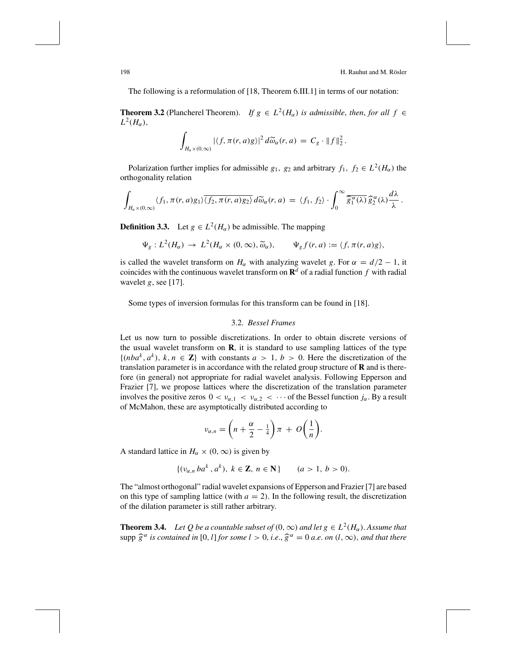The following is a reformulation of [18, Theorem 6.III.1] in terms of our notation:

**Theorem 3.2** (Plancherel Theorem). *If*  $g \in L^2(H_\alpha)$  *is admissible, then, for all*  $f \in$  $L^2(H_\alpha)$ ,

$$
\int_{H_{\alpha}\times(0,\infty)}|\langle f,\pi(r,a)g\rangle|^2 d\widetilde{\omega}_{\alpha}(r,a) = C_g \cdot \|f\|_2^2.
$$

Polarization further implies for admissible  $g_1$ ,  $g_2$  and arbitrary  $f_1$ ,  $f_2 \in L^2(H_\alpha)$  the orthogonality relation

$$
\int_{H_{\alpha}\times(0,\infty)}\langle f_1,\pi(r,a)g_1\rangle\overline{\langle f_2,\pi(r,a)g_2\rangle}d\widetilde{\omega}_{\alpha}(r,a) = \langle f_1,f_2\rangle\cdot\int_0^{\infty}\overline{\widehat{g}_1^{\alpha}(\lambda)}\,\widehat{g}_2^{\alpha}(\lambda)\frac{d\lambda}{\lambda}.
$$

**Definition 3.3.** Let  $g \in L^2(H_\alpha)$  be admissible. The mapping

$$
\Psi_g: L^2(H_\alpha) \to L^2(H_\alpha \times (0,\infty), \widetilde{\omega}_\alpha), \qquad \Psi_g f(r,a) := \langle f, \pi(r,a)g \rangle,
$$

is called the wavelet transform on  $H_\alpha$  with analyzing wavelet *g*. For  $\alpha = d/2 - 1$ , it coincides with the continuous wavelet transform on  $\mathbf{R}^d$  of a radial function f with radial wavelet *g*, see [17].

Some types of inversion formulas for this transform can be found in [18].

## 3.2. *Bessel Frames*

Let us now turn to possible discretizations. In order to obtain discrete versions of the usual wavelet transform on **R**, it is standard to use sampling lattices of the type  $\{(nba^k, a^k), k, n \in \mathbb{Z}\}\)$  with constants  $a > 1, b > 0$ . Here the discretization of the translation parameter is in accordance with the related group structure of **R** and is therefore (in general) not appropriate for radial wavelet analysis. Following Epperson and Frazier [7], we propose lattices where the discretization of the translation parameter involves the positive zeros  $0 < v_{\alpha,1} < v_{\alpha,2} < \cdots$  of the Bessel function  $j_{\alpha}$ . By a result of McMahon, these are asymptotically distributed according to

$$
\nu_{\alpha,n} = \left(n + \frac{\alpha}{2} - \frac{1}{4}\right)\pi + O\left(\frac{1}{n}\right).
$$

A standard lattice in  $H_{\alpha} \times (0, \infty)$  is given by

$$
\{(v_{\alpha,n} \, ba^k \, , \, a^k), \, k \in \mathbb{Z}, \, n \in \mathbb{N}\} \qquad (a > 1, \, b > 0).
$$

The "almost orthogonal" radial wavelet expansions of Epperson and Frazier [7] are based on this type of sampling lattice (with  $a = 2$ ). In the following result, the discretization of the dilation parameter is still rather arbitrary.

**Theorem 3.4.** *Let Q be a countable subset of*  $(0, \infty)$  *and let g*  $\in L^2(H_\alpha)$ . Assume that  $\sup p \widehat{g}^{\alpha}$  *is contained in* [0, *l*] *for some l* > 0, *i.e.*,  $\widehat{g}^{\alpha} = 0$  *a.e. on* (*l*,  $\infty$ ), *and that there*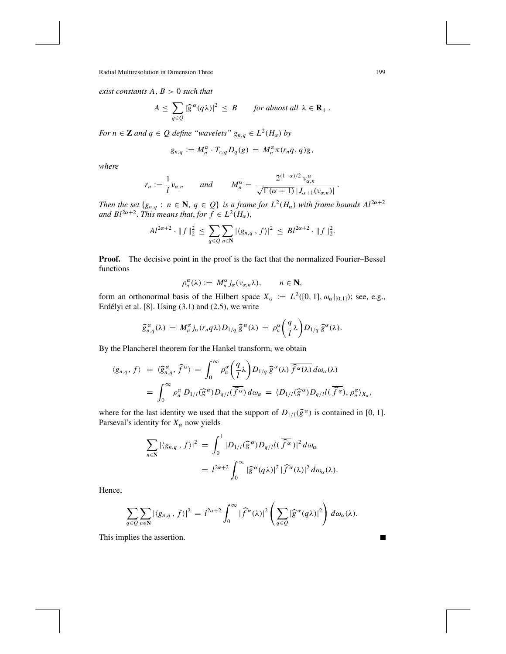*exist constants A*, *B* > 0 *such that*

$$
A \leq \sum_{q \in Q} |\widehat{g}^{\alpha}(q\lambda)|^2 \leq B \quad \text{for almost all } \lambda \in \mathbf{R}_+.
$$

*For*  $n \in \mathbb{Z}$  *and*  $q \in Q$  *define "wavelets"*  $g_{n,q} \in L^2(H_\alpha)$  *by* 

$$
g_{n,q} := M_n^{\alpha} \cdot T_{r_nq} D_q(g) = M_n^{\alpha} \pi(r_nq,q)g,
$$

*where*

$$
r_n := \frac{1}{l} \nu_{\alpha,n} \quad \text{and} \quad M_n^{\alpha} = \frac{2^{(1-\alpha)/2} \nu_{\alpha,n}^{\alpha}}{\sqrt{\Gamma(\alpha+1)} \, |J_{\alpha+1}(\nu_{\alpha,n})|}.
$$

*Then the set*  ${g_{n,q} : n \in \mathbb{N}, q \in Q}$  *is a frame for*  $L^2(H_\alpha)$  *with frame bounds*  $Al^{2\alpha+2}$ *and Bl*<sup>2 $\alpha$ +2. *This means that, for*  $f \in L^2(H_\alpha)$ ,</sup>

$$
Al^{2\alpha+2} \cdot ||f||_2^2 \le \sum_{q \in Q} \sum_{n \in \mathbb{N}} |\langle g_{n,q}, f \rangle|^2 \le Bl^{2\alpha+2} \cdot ||f||_2^2.
$$

**Proof.** The decisive point in the proof is the fact that the normalized Fourier–Bessel functions

$$
\rho_n^{\alpha}(\lambda) := M_n^{\alpha} j_{\alpha}(\nu_{\alpha,n}\lambda), \qquad n \in \mathbb{N},
$$

form an orthonormal basis of the Hilbert space  $X_\alpha := L^2([0, 1], \omega_\alpha|_{[0,1]})$ ; see, e.g., Erdélyi et al.  $[8]$ . Using  $(3.1)$  and  $(2.5)$ , we write

$$
\widehat{g}_{n,q}^{\alpha}(\lambda) = M_n^{\alpha} j_{\alpha}(r_n q \lambda) D_{1/q} \widehat{g}^{\alpha}(\lambda) = \rho_n^{\alpha} \left(\frac{q}{l} \lambda\right) D_{1/q} \widehat{g}^{\alpha}(\lambda).
$$

By the Plancherel theorem for the Hankel transform, we obtain

$$
\langle g_{n,q}, f \rangle = \langle \widehat{g}_{n,q}^{\alpha}, \widehat{f}^{\alpha} \rangle = \int_0^{\infty} \rho_n^{\alpha} \left( \frac{q}{l} \lambda \right) D_{1/q} \widehat{g}^{\alpha}(\lambda) \overline{\widehat{f}^{\alpha}(\lambda)} d\omega_{\alpha}(\lambda)
$$
  
= 
$$
\int_0^{\infty} \rho_n^{\alpha} D_{1/l}(\widehat{g}^{\alpha}) D_{q/l}(\widehat{f}^{\alpha}) d\omega_{\alpha} = \langle D_{1/l}(\widehat{g}^{\alpha}) D_{q/l}l(\widehat{f}^{\alpha}), \rho_n^{\alpha} \rangle_{X_{\alpha}},
$$

where for the last identity we used that the support of  $D_{1/l}(\hat{g}^{\alpha})$  is contained in [0, 1]. Parseval's identity for  $X_\alpha$  now yields

$$
\sum_{n\in\mathbb{N}}|\langle g_{n,q},f\rangle|^2 = \int_0^1 |D_{1/l}(\widehat{g}^\alpha)D_{q/l}l(\overline{\widehat{f}^\alpha})|^2 d\omega_\alpha
$$
  
=  $l^{2\alpha+2} \int_0^\infty |\widehat{g}^\alpha(q\lambda)|^2 |\widehat{f}^\alpha(\lambda)|^2 d\omega_\alpha(\lambda).$ 

Hence,

$$
\sum_{q\in Q}\sum_{n\in\mathbf{N}}|\langle g_{n,q}\,,f\rangle|^2= l^{2\alpha+2}\int_0^\infty|\widehat{f}^\alpha(\lambda)|^2\left(\sum_{q\in Q}|\widehat{g}^\alpha(q\lambda)|^2\right)d\omega_\alpha(\lambda).
$$

This implies the assertion.

٠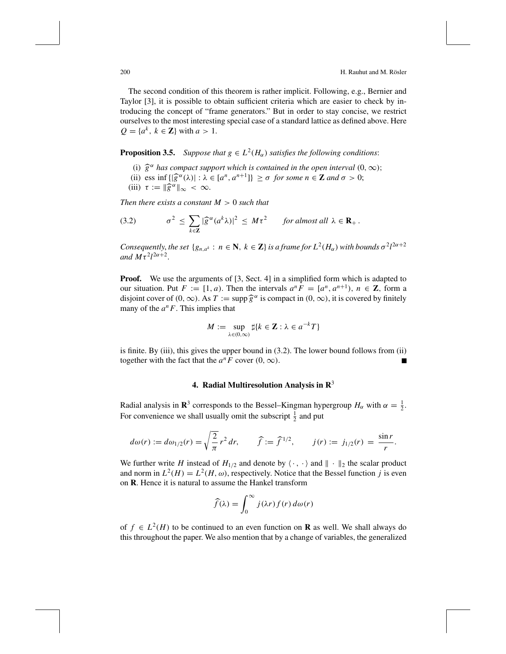The second condition of this theorem is rather implicit. Following, e.g., Bernier and Taylor [3], it is possible to obtain sufficient criteria which are easier to check by introducing the concept of "frame generators." But in order to stay concise, we restrict ourselves to the most interesting special case of a standard lattice as defined above. Here  $Q = \{a^k, k \in \mathbb{Z}\}\$  with  $a > 1$ .

**Proposition 3.5.** *Suppose that*  $g \in L^2(H_\alpha)$  *satisfies the following conditions:* 

- (i)  $\hat{g}^{\alpha}$  *has compact support which is contained in the open interval*  $(0, \infty)$ ;
- (ii) ess inf  $\{|\hat{g}^{\alpha}(\lambda)| : \lambda \in [a^n, a^{n+1}]\} \ge \sigma$  for some  $n \in \mathbb{Z}$  and  $\sigma > 0$ ;
- (iii)  $\tau := \|\widehat{g}^{\alpha}\|_{\infty} < \infty$ .

*Then there exists a constant M* > 0 *such that*

(3.2) 
$$
\sigma^2 \leq \sum_{k \in \mathbf{Z}} |\widehat{g}^{\alpha}(a^k \lambda)|^2 \leq M \tau^2 \quad \text{for almost all } \lambda \in \mathbf{R}_+.
$$

*Consequently, the set*  $\{g_{n,a^k}: n \in \mathbb{N}, k \in \mathbb{Z}\}$  *is a frame for*  $L^2(H_\alpha)$  *with bounds*  $\sigma^2 l^{2\alpha+2}$ and  $M\tau^2 l^{2\alpha+2}$ .

**Proof.** We use the arguments of [3, Sect. 4] in a simplified form which is adapted to our situation. Put  $F := [1, a)$ . Then the intervals  $a^n F = [a^n, a^{n+1}), n \in \mathbb{Z}$ , form a disjoint cover of  $(0, \infty)$ . As  $T := \sup p \hat{g}^{\alpha}$  is compact in  $(0, \infty)$ , it is covered by finitely many of the  $a^nF$ . This implies that

$$
M := \sup_{\lambda \in (0,\infty)} \sharp \{k \in \mathbb{Z} : \lambda \in a^{-k}T\}
$$

is finite. By (iii), this gives the upper bound in (3.2). The lower bound follows from (ii) together with the fact that the  $a^nF$  cover  $(0, \infty)$ .

#### **4. Radial Multiresolution Analysis in R**<sup>3</sup>

Radial analysis in **R**<sup>3</sup> corresponds to the Bessel–Kingman hypergroup  $H_{\alpha}$  with  $\alpha = \frac{1}{2}$ . For convenience we shall usually omit the subscript  $\frac{1}{2}$  and put

$$
d\omega(r) := d\omega_{1/2}(r) = \sqrt{\frac{2}{\pi}} r^2 dr, \qquad \widehat{f} := \widehat{f}^{1/2}, \qquad j(r) := j_{1/2}(r) = \frac{\sin r}{r}.
$$

We further write *H* instead of  $H_{1/2}$  and denote by  $\langle \cdot, \cdot \rangle$  and  $\| \cdot \|_2$  the scalar product and norm in  $L^2(H) = L^2(H, \omega)$ , respectively. Notice that the Bessel function *j* is even on **R**. Hence it is natural to assume the Hankel transform

$$
\widehat{f}(\lambda) = \int_0^\infty j(\lambda r) f(r) d\omega(r)
$$

of  $f \in L^2(H)$  to be continued to an even function on **R** as well. We shall always do this throughout the paper. We also mention that by a change of variables, the generalized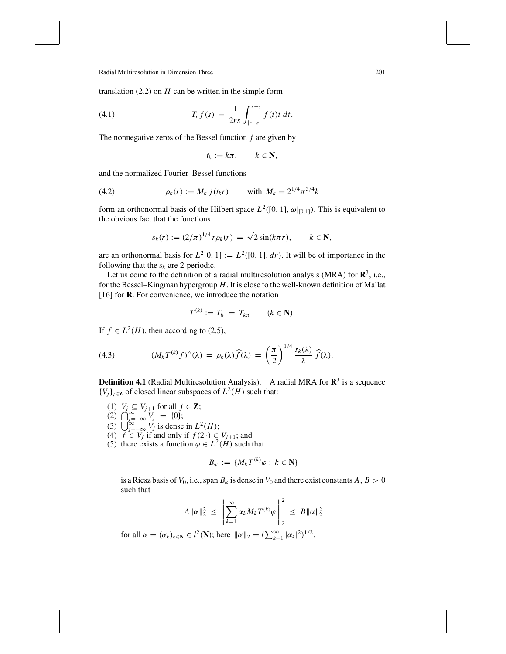translation  $(2.2)$  on *H* can be written in the simple form

(4.1) 
$$
T_r f(s) = \frac{1}{2rs} \int_{|r-s|}^{r+s} f(t) t \, dt.
$$

The nonnegative zeros of the Bessel function *j* are given by

$$
t_k := k\pi, \qquad k \in \mathbf{N},
$$

and the normalized Fourier–Bessel functions

(4.2) 
$$
\rho_k(r) := M_k \, j(t_k r) \quad \text{with } M_k = 2^{1/4} \pi^{5/4} k
$$

form an orthonormal basis of the Hilbert space  $L^2([0, 1], \omega|_{[0,1]})$ . This is equivalent to the obvious fact that the functions

$$
s_k(r) := (2/\pi)^{1/4} r \rho_k(r) = \sqrt{2} \sin(k\pi r), \qquad k \in \mathbb{N},
$$

are an orthonormal basis for  $L^2[0, 1] := L^2([0, 1], dr)$ . It will be of importance in the following that the  $s_k$  are 2-periodic.

Let us come to the definition of a radial multiresolution analysis (MRA) for  $\mathbb{R}^3$ , i.e., for the Bessel–Kingman hypergroup *H*. It is close to the well-known definition of Mallat [16] for **R**. For convenience, we introduce the notation

$$
T^{(k)} := T_{t_k} = T_{k\pi} \qquad (k \in \mathbf{N}).
$$

If  $f \in L^2(H)$ , then according to (2.5),

(4.3) 
$$
(M_k T^{(k)} f)^\wedge(\lambda) = \rho_k(\lambda) \widehat{f}(\lambda) = \left(\frac{\pi}{2}\right)^{1/4} \frac{s_k(\lambda)}{\lambda} \widehat{f}(\lambda).
$$

**Definition 4.1** (Radial Multiresolution Analysis). A radial MRA for  $\mathbb{R}^3$  is a sequence { $V_j$ }<sub>*j*∈**Z** of closed linear subspaces of  $L^2(H)$  such that:</sub>

- (1) *V<sub>j</sub>* ⊆ *V<sub>j+1</sub>* for all *j* ∈ **Z**;
- $(2)$   $\bigcap_{j=-\infty}^{\infty} V_j = \{0\};$
- (3)  $\bigcup_{j=-\infty}^{\infty} V_j$  is dense in  $L^2(H)$ ;
- (4) *f* ∈ *V<sub>j</sub>* if and only if *f* (2⋅) ∈ *V<sub>j+1</sub>*; and
- (5) there exists a function  $\varphi \in L^2(H)$  such that

$$
B_{\varphi} := \{ M_k T^{(k)} \varphi : k \in \mathbf{N} \}
$$

is a Riesz basis of  $V_0$ , i.e., span  $B_\varphi$  is dense in  $V_0$  and there exist constants  $A, B > 0$ such that

$$
A\|\alpha\|_2^2 \ \leq \ \left\|\sum_{k=1}^\infty \alpha_k M_k T^{(k)}\varphi\,\right\|_2^2 \ \leq \ B\|\alpha\|_2^2
$$

for all  $\alpha = (\alpha_k)_{k \in \mathbb{N}} \in l^2(\mathbb{N})$ ; here  $\|\alpha\|_2 = (\sum_{k=1}^{\infty} |\alpha_k|^2)^{1/2}$ .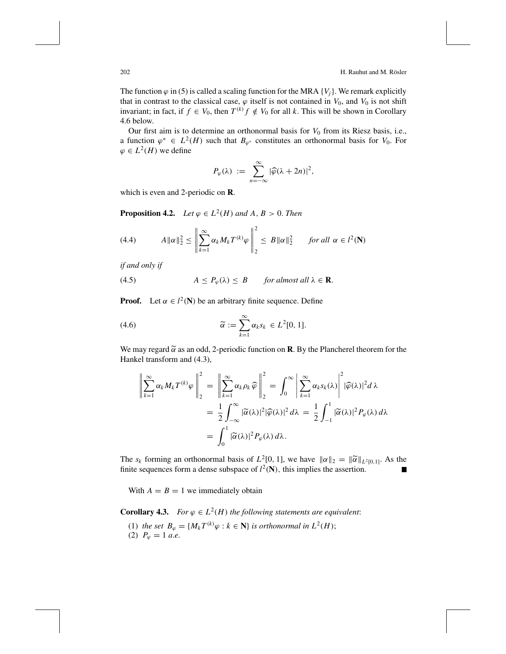The function  $\varphi$  in (5) is called a scaling function for the MRA  $\{V_i\}$ . We remark explicitly that in contrast to the classical case,  $\varphi$  itself is not contained in  $V_0$ , and  $V_0$  is not shift invariant; in fact, if  $f \in V_0$ , then  $T^{(k)} f \notin V_0$  for all *k*. This will be shown in Corollary 4.6 below.

Our first aim is to determine an orthonormal basis for  $V_0$  from its Riesz basis, i.e., a function  $\varphi^* \in L^2(H)$  such that  $B_{\varphi^*}$  constitutes an orthonormal basis for  $V_0$ . For  $\varphi \in L^2(H)$  we define

$$
P_{\varphi}(\lambda) \; := \; \sum_{n=-\infty}^{\infty} |\widehat{\varphi}(\lambda + 2n)|^2,
$$

which is even and 2-periodic on **R**.

**Proposition 4.2.** *Let*  $\varphi \in L^2(H)$  *and*  $A, B > 0$ *. Then* 

(4.4) 
$$
A \| \alpha \|_2^2 \leq \left\| \sum_{k=1}^{\infty} \alpha_k M_k T^{(k)} \varphi \right\|_2^2 \leq B \| \alpha \|_2^2 \quad \text{for all } \alpha \in l^2(\mathbf{N})
$$

*if and only if*

(4.5) 
$$
A \le P_{\varphi}(\lambda) \le B \quad \text{for almost all } \lambda \in \mathbf{R}.
$$

**Proof.** Let  $\alpha \in l^2(\mathbb{N})$  be an arbitrary finite sequence. Define

(4.6) 
$$
\widetilde{\alpha} := \sum_{k=1}^{\infty} \alpha_k s_k \in L^2[0, 1].
$$

We may regard  $\tilde{\alpha}$  as an odd, 2-periodic function on **R**. By the Plancherel theorem for the Hankel transform and (4.3) Hankel transform and (4.3),

$$
\left\| \sum_{k=1}^{\infty} \alpha_k M_k T^{(k)} \varphi \right\|_2^2 = \left\| \sum_{k=1}^{\infty} \alpha_k \rho_k \widehat{\varphi} \right\|_2^2 = \int_0^{\infty} \left| \sum_{k=1}^{\infty} \alpha_k s_k(\lambda) \right|^2 |\widehat{\varphi}(\lambda)|^2 d\lambda
$$
  
=  $\frac{1}{2} \int_{-\infty}^{\infty} |\widetilde{\alpha}(\lambda)|^2 |\widehat{\varphi}(\lambda)|^2 d\lambda = \frac{1}{2} \int_{-1}^1 |\widetilde{\alpha}(\lambda)|^2 P_{\varphi}(\lambda) d\lambda$   
=  $\int_0^1 |\widetilde{\alpha}(\lambda)|^2 P_{\varphi}(\lambda) d\lambda.$ 

The  $s_k$  forming an orthonormal basis of  $L^2[0, 1]$ , we have  $\|\alpha\|_2 = \|\widetilde{\alpha}\|_{L^2[0, 1]}$ . As the finite sequences form a dense subspace of  $l^2(\mathbf{N})$ , this implies the assertion. г

With  $A = B = 1$  we immediately obtain

**Corollary 4.3.** *For*  $\varphi \in L^2(H)$  *the following statements are equivalent:* 

(1) *the set*  $B_{\varphi} = \{M_k T^{(k)} \varphi : k \in \mathbb{N}\}\$ is orthonormal in  $L^2(H)$ ; (2)  $P_{\varphi} = 1$  *a.e.*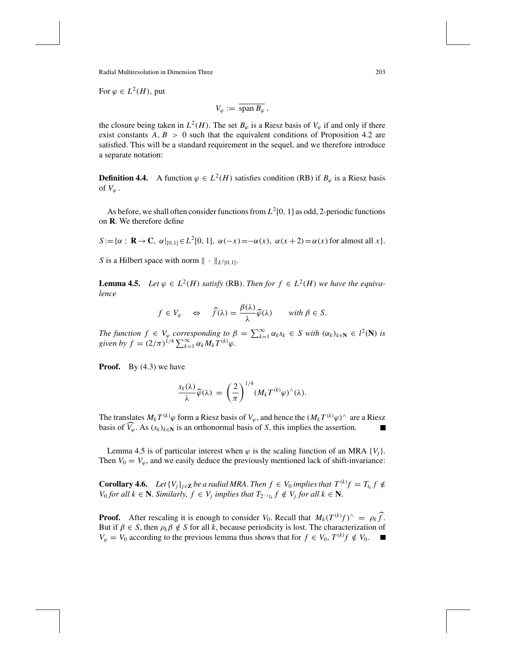For  $\varphi \in L^2(H)$ , put

$$
V_{\varphi} := \overline{\text{span } B_{\varphi}},
$$

the closure being taken in  $L^2(H)$ . The set  $B_{\varphi}$  is a Riesz basis of  $V_{\varphi}$  if and only if there exist constants  $A, B > 0$  such that the equivalent conditions of Proposition 4.2 are satisfied. This will be a standard requirement in the sequel, and we therefore introduce a separate notation:

**Definition 4.4.** A function  $\varphi \in L^2(H)$  satisfies condition (RB) if  $B_{\varphi}$  is a Riesz basis of  $V_{\varphi}$ .

As before, we shall often consider functions from  $L^2[0, 1]$  as odd, 2-periodic functions on **R**. We therefore define

 $S := {\alpha : \mathbf{R} \to \mathbf{C}, \alpha|_{[0,1]} \in L^2[0,1], \alpha(-x) = -\alpha(x), \alpha(x+2) = \alpha(x)$  for almost all *x* }.

*S* is a Hilbert space with norm  $\| \cdot \|_{L^2[0,1]}$ .

**Lemma 4.5.** *Let*  $\varphi \in L^2(H)$  *satisfy* (RB). *Then for*  $f \in L^2(H)$  *we have the equivalence*

$$
f \in V_{\varphi} \quad \Leftrightarrow \quad \widehat{f}(\lambda) = \frac{\beta(\lambda)}{\lambda} \widehat{\varphi}(\lambda) \quad \text{with } \beta \in S.
$$

*The function*  $f \in V_{\varphi}$  *corresponding to*  $\beta = \sum_{k=1}^{\infty} \alpha_k s_k \in S$  *with*  $(\alpha_k)_{k \in \mathbb{N}} \in l^2(\mathbb{N})$  *is given by*  $f = (2/\pi)^{1/4} \sum_{k=1}^{\infty} \alpha_k M_k T^{(k)} \varphi$ .

**Proof.** By (4.3) we have

$$
\frac{s_k(\lambda)}{\lambda}\widehat{\varphi}(\lambda) = \left(\frac{2}{\pi}\right)^{1/4} (M_k T^{(k)} \varphi)^{\wedge}(\lambda).
$$

The translates  $M_k T^{(k)} \varphi$  form a Riesz basis of  $V_{\varphi}$ , and hence the  $(M_k T^{(k)} \varphi)^{\wedge}$  are a Riesz basis of  $\widehat{V}_{\varphi}$ . As  $(s_k)_{k \in \mathbb{N}}$  is an orthonormal basis of *S*, this implies the assertion.

Lemma 4.5 is of particular interest when  $\varphi$  is the scaling function of an MRA  $\{V_i\}$ . Then  $V_0 = V_\varphi$ , and we easily deduce the previously mentioned lack of shift-invariance:

**Corollary 4.6.** *Let*  $\{V_j\}_{j\in\mathbf{Z}}$  *be a radial MRA. Then*  $f \in V_0$  *implies that*  $T^{(k)}f = T_{t_k}f \notin$ *V*<sub>0</sub> *for all*  $k \in \mathbb{N}$ *. Similarly,*  $f \in V_j$  *implies that*  $T_{2^{-j}t_k} f \notin V_j$  *for all*  $k \in \mathbb{N}$ *.* 

**Proof.** After rescaling it is enough to consider *V*<sub>0</sub>. Recall that  $M_k(T^{(k)}f)^\wedge = \rho_k \widehat{f}$ . But if  $\beta \in S$ , then  $\rho_k \beta \notin S$  for all *k*, because periodicity is lost. The characterization of *V*<sub> $\varphi$  = *V*<sub>0</sub> according to the previous lemma thus shows that for *f* ∈ *V*<sub>0</sub>, *T*<sup>(*k*)</sup>*f* ∉ *V*<sub>0</sub>. ■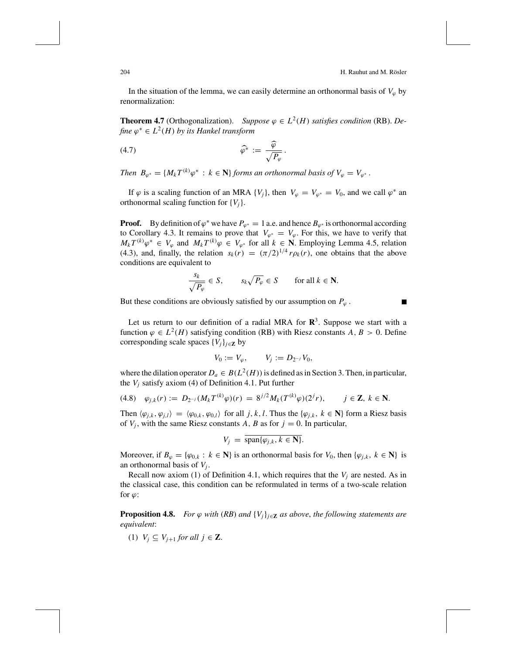In the situation of the lemma, we can easily determine an orthonormal basis of  $V_{\varphi}$  by renormalization:

**Theorem 4.7** (Orthogonalization). *Suppose*  $\varphi \in L^2(H)$  *satisfies condition* (RB). *Define*  $\varphi^*$  ∈  $L^2(H)$  *by its Hankel transform* 

$$
\widehat{\varphi^*} := \frac{\widehat{\varphi}}{\sqrt{P_{\varphi}}}.
$$

*Then*  $B_{\varphi^*} = \{M_k T^{(k)} \varphi^* : k \in \mathbb{N}\}\$  *forms an orthonormal basis of*  $V_{\varphi} = V_{\varphi^*}$ .

If  $\varphi$  is a scaling function of an MRA  $\{V_i\}$ , then  $V_{\varphi} = V_{\varphi^*} = V_0$ , and we call  $\varphi^*$  an orthonormal scaling function for {*Vj*}.

**Proof.** By definition of  $\varphi^*$  we have  $P_{\varphi^*} = 1$  a.e. and hence  $B_{\varphi^*}$  is orthonormal according to Corollary 4.3. It remains to prove that  $V_{\varphi^*} = V_{\varphi}$ . For this, we have to verify that *M<sub>k</sub>*  $T^{(k)}\varphi^*$  ∈  $V_{\varphi}$  and  $M_kT^{(k)}\varphi \in V_{\varphi^*}$  for all  $k \in \mathbb{N}$ . Employing Lemma 4.5, relation (4.3), and, finally, the relation  $s_k(r) = (\pi/2)^{1/4} r \rho_k(r)$ , one obtains that the above conditions are equivalent to

$$
\frac{s_k}{\sqrt{P_\varphi}} \in S, \qquad s_k \sqrt{P_\varphi} \in S \qquad \text{for all } k \in \mathbb{N}.
$$

But these conditions are obviously satisfied by our assumption on  $P_\varphi$ .

Let us return to our definition of a radial MRA for  $\mathbb{R}^3$ . Suppose we start with a function  $\varphi \in L^2(H)$  satisfying condition (RB) with Riesz constants *A*, *B* > 0. Define corresponding scale spaces  $\{V_j\}_{j \in \mathbb{Z}}$  by

$$
V_0 := V_{\varphi}, \qquad V_j := D_{2^{-j}} V_0,
$$

where the dilation operator  $D_a \in B(L^2(H))$  is defined as in Section 3. Then, in particular, the  $V_i$  satisfy axiom (4) of Definition 4.1. Put further

$$
(4.8) \quad \varphi_{j,k}(r) := D_{2^{-j}}(M_k T^{(k)} \varphi)(r) = 8^{j/2} M_k (T^{(k)} \varphi)(2^{j} r), \qquad j \in \mathbb{Z}, \ k \in \mathbb{N}.
$$

Then  $\langle \varphi_{j,k}, \varphi_{j,l} \rangle = \langle \varphi_{0,k}, \varphi_{0,l} \rangle$  for all *j*, *k*, *l*. Thus the  $\{ \varphi_{j,k}, k \in \mathbb{N} \}$  form a Riesz basis of  $V_j$ , with the same Riesz constants  $A$ ,  $B$  as for  $j = 0$ . In particular,

$$
V_j = \overline{\operatorname{span}\{\varphi_{j,k}, k \in \mathbf{N}\}}.
$$

Moreover, if  $B_{\varphi} = {\varphi_{0,k} : k \in \mathbb{N}}$  is an orthonormal basis for  $V_0$ , then  ${\varphi_{j,k}, k \in \mathbb{N}}$  is an orthonormal basis of  $V_i$ .

Recall now axiom (1) of Definition 4.1, which requires that the *Vj* are nested. As in the classical case, this condition can be reformulated in terms of a two-scale relation for  $\varphi$ :

**Proposition 4.8.** *For*  $\varphi$  *with* (*RB*) *and*  $\{V_j\}_{j\in\mathbf{Z}}$  *as above, the following statements are equivalent*:

(1)  $V_i \subseteq V_{i+1}$  *for all j*  $\in \mathbf{Z}$ .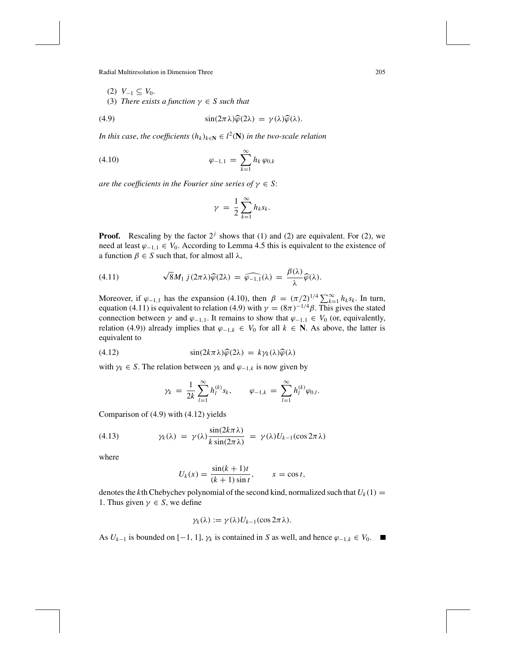$$
(2) V_{-1} \subseteq V_0.
$$

(3) *There exists a function*  $\gamma \in S$  *such that* 

(4.9) 
$$
\sin(2\pi\lambda)\widehat{\varphi}(2\lambda) = \gamma(\lambda)\widehat{\varphi}(\lambda).
$$

*In this case, the coefficients*  $(h_k)_{k \in \mathbb{N}} \in l^2(\mathbb{N})$  *in the two-scale relation* 

(4.10) 
$$
\varphi_{-1,1} = \sum_{k=1}^{\infty} h_k \varphi_{0,k}
$$

*are the coefficients in the Fourier sine series of*  $\gamma \in S$ :

$$
\gamma = \frac{1}{2} \sum_{k=1}^{\infty} h_k s_k.
$$

**Proof.** Rescaling by the factor  $2^j$  shows that (1) and (2) are equivalent. For (2), we need at least  $φ_{-1,1} ∈ V_0$ . According to Lemma 4.5 this is equivalent to the existence of a function  $\beta \in S$  such that, for almost all  $\lambda$ ,

(4.11) 
$$
\sqrt{8}M_1 j(2\pi\lambda)\widehat{\varphi}(2\lambda) = \widehat{\varphi_{-1,1}}(\lambda) = \frac{\beta(\lambda)}{\lambda}\widehat{\varphi}(\lambda).
$$

Moreover, if  $\varphi_{-1,1}$  has the expansion (4.10), then  $\beta = (\pi/2)^{1/4} \sum_{k=1}^{\infty} h_k s_k$ . In turn, equation (4.11) is equivalent to relation (4.9) with  $\gamma = (8\pi)^{-1/4}\beta$ . This gives the stated connection between  $\gamma$  and  $\varphi_{-1,1}$ . It remains to show that  $\varphi_{-1,1} \in V_0$  (or, equivalently, relation (4.9)) already implies that  $\varphi_{-1,k}$  ∈  $V_0$  for all  $k$  ∈ **N**. As above, the latter is equivalent to

(4.12) 
$$
\sin(2k\pi\lambda)\widehat{\varphi}(2\lambda) = k\gamma_k(\lambda)\widehat{\varphi}(\lambda)
$$

with  $\gamma_k \in S$ . The relation between  $\gamma_k$  and  $\varphi_{-1,k}$  is now given by

$$
\gamma_k = \frac{1}{2k} \sum_{l=1}^{\infty} h_l^{(k)} s_k, \qquad \varphi_{-1,k} = \sum_{l=1}^{\infty} h_l^{(k)} \varphi_{0,l}.
$$

Comparison of (4.9) with (4.12) yields

(4.13) 
$$
\gamma_k(\lambda) = \gamma(\lambda) \frac{\sin(2k\pi\lambda)}{k \sin(2\pi\lambda)} = \gamma(\lambda) U_{k-1}(\cos 2\pi\lambda)
$$

where

$$
U_k(x) = \frac{\sin((k+1)t)}{(k+1)\sin t}, \qquad x = \cos t,
$$

denotes the *k*th Chebychev polynomial of the second kind, normalized such that  $U_k(1) =$ 1. Thus given  $\gamma \in S$ , we define

$$
\gamma_k(\lambda) := \gamma(\lambda)U_{k-1}(\cos 2\pi\lambda).
$$

As  $U_{k-1}$  is bounded on [−1, 1],  $\gamma_k$  is contained in *S* as well, and hence  $\varphi_{-1,k} \in V_0$ . ■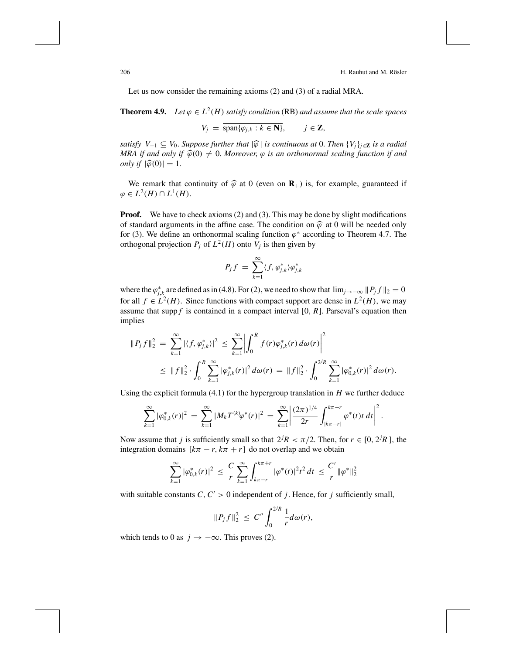206 H. Rauhut and M. Rösler

Let us now consider the remaining axioms (2) and (3) of a radial MRA.

**Theorem 4.9.** *Let*  $\varphi \in L^2(H)$  *satisfy condition* (RB) *and assume that the scale spaces* 

$$
V_j = \text{span}\{\varphi_{j,k} : k \in \mathbf{N}\}, \quad j \in \mathbf{Z},
$$

*satisfy*  $V_{-1} \subseteq V_0$ . *Suppose further that*  $|\hat{\varphi}|$  *is continuous at* 0. *Then*  $\{V_j\}_{j \in \mathbb{Z}}$  *is a radial MRA if and only if*  $\widehat{\varphi}(0) \neq 0$ . *Moreover*,  $\varphi$  *is an orthonormal scaling function if and only if*  $|\widehat{\varphi}(0)| = 1$ .

We remark that continuity of  $\hat{\varphi}$  at 0 (even on  $\mathbf{R}_{+}$ ) is, for example, guaranteed if  $\varphi \in L^2(H) \cap L^1(H)$ .

**Proof.** We have to check axioms (2) and (3). This may be done by slight modifications of standard arguments in the affine case. The condition on  $\hat{\varphi}$  at 0 will be needed only for (3). We define an orthonormal scaling function  $\varphi^*$  according to Theorem 4.7. The orthogonal projection  $P_j$  of  $L^2(H)$  onto  $V_j$  is then given by

$$
P_j f = \sum_{k=1}^{\infty} \langle f, \varphi_{j,k}^* \rangle \varphi_{j,k}^*
$$

where the  $\varphi_{j,k}^*$  are defined as in (4.8). For (2), we need to show that  $\lim_{j\to-\infty} ||P_j f||_2 = 0$ for all  $f \in L^2(H)$ . Since functions with compact support are dense in  $L^2(H)$ , we may assume that supp  $f$  is contained in a compact interval  $[0, R]$ . Parseval's equation then implies

$$
||P_j f||_2^2 = \sum_{k=1}^{\infty} |\langle f, \varphi_{j,k}^* \rangle|^2 \le \sum_{k=1}^{\infty} \left| \int_0^R f(r) \overline{\varphi_{j,k}^* (r)} d\omega(r) \right|^2
$$
  

$$
\le ||f||_2^2 \cdot \int_0^R \sum_{k=1}^{\infty} |\varphi_{j,k}^* (r)|^2 d\omega(r) = ||f||_2^2 \cdot \int_0^{2^j R} \sum_{k=1}^{\infty} |\varphi_{0,k}^* (r)|^2 d\omega(r).
$$

Using the explicit formula  $(4.1)$  for the hypergroup translation in *H* we further deduce

$$
\sum_{k=1}^{\infty} |\varphi_{0,k}^*(r)|^2 = \sum_{k=1}^{\infty} |M_k T^{(k)} \varphi^*(r)|^2 = \sum_{k=1}^{\infty} \left| \frac{(2\pi)^{1/4}}{2r} \int_{|k\pi - r|}^{k\pi + r} \varphi^*(t) t \, dt \right|^2.
$$

Now assume that *j* is sufficiently small so that  $2^{j}R < \pi/2$ . Then, for  $r \in [0, 2^{j}R]$ , the integration domains  $[k\pi - r, k\pi + r]$  do not overlap and we obtain

$$
\sum_{k=1}^{\infty} |\varphi_{0,k}^*(r)|^2 \leq \frac{C}{r} \sum_{k=1}^{\infty} \int_{k\pi-r}^{k\pi+r} |\varphi^*(t)|^2 t^2 dt \leq \frac{C'}{r} ||\varphi^*||_2^2
$$

with suitable constants  $C, C' > 0$  independent of *j*. Hence, for *j* sufficiently small,

$$
||P_j f||_2^2 \ \leq \ C'' \int_0^{2/R} \frac{1}{r} d\omega(r),
$$

which tends to 0 as  $j \rightarrow -\infty$ . This proves (2).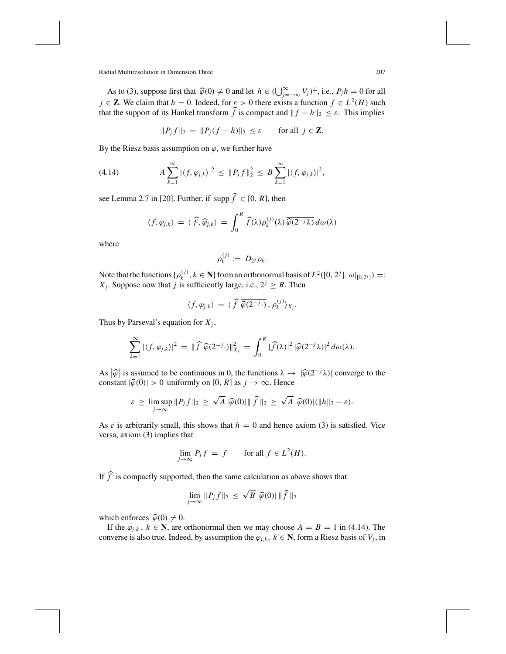As to (3), suppose first that  $\hat{\varphi}(0) \neq 0$  and let  $h \in (\bigcup_{j=-\infty}^{\infty} V_j)^{\perp}$ , i.e.,  $P_j h = 0$  for all  $\in \mathbb{Z}$ . We object that  $h = 0$ , Indeed, for  $\varepsilon > 0$  there exists a function  $f \in L^2(H)$  such  $j \in \mathbb{Z}$ . We claim that  $h = 0$ . Indeed, for  $\varepsilon > 0$  there exists a function  $f \in L^2(H)$  such that the support of its Hankel transform  $\hat{f}$  is compact and  $||f - h||_2 \leq \varepsilon$ . This implies

 $||P_j f||_2 = ||P_j (f - h)||_2 \le \varepsilon$  for all  $j \in \mathbb{Z}$ .

By the Riesz basis assumption on  $\varphi$ , we further have

(4.14) 
$$
A \sum_{k=1}^{\infty} |\langle f, \varphi_{j,k} \rangle|^2 \leq \|P_j f\|_2^2 \leq B \sum_{k=1}^{\infty} |\langle f, \varphi_{j,k} \rangle|^2,
$$

see Lemma 2.7 in [20]. Further, if supp  $\hat{f} \in [0, R]$ , then

$$
\langle f, \varphi_{j,k} \rangle = \langle \widehat{f}, \widehat{\varphi}_{j,k} \rangle = \int_0^R \widehat{f}(\lambda) \rho_k^{(j)}(\lambda) \overline{\widehat{\varphi}(2^{-j}\lambda)} d\omega(\lambda)
$$

where

$$
\rho_k^{(j)} := D_{2^j} \rho_k.
$$

Note that the functions  $\{\rho_k^{(j)}, k \in \mathbb{N}\}\$  form an orthonormal basis of  $L^2([0, 2^j], \omega|_{[0, 2^j]}) =$ : *X<sub>j</sub>*. Suppose now that *j* is sufficiently large, i.e.,  $2^{j} \ge R$ . Then

$$
\langle f, \varphi_{j,k} \rangle = \langle \widehat{f} \, \overline{\widehat{\varphi}(2^{-j} \cdot)}, \, \rho_k^{(j)} \rangle_{X_j}.
$$

Thus by Parseval's equation for  $X_j$ ,

$$
\sum_{k=1}^{\infty} |\langle f, \varphi_{j,k} \rangle|^2 = \| \widehat{f} \, \overline{\widehat{\varphi}(2^{-j} \cdot)} \|_{X_j}^2 = \int_0^R |\widehat{f}(\lambda)|^2 |\widehat{\varphi}(2^{-j} \lambda)|^2 d\omega(\lambda).
$$

As  $|\hat{\varphi}|$  is assumed to be continuous in 0, the functions  $\lambda \to |\hat{\varphi}(2^{-j}\lambda)|$  converge to the constant  $|\hat{\varphi}(0)| > 0$  uniformly on [0, R] as  $j \to \infty$ . Hence constant  $|\hat{\varphi}(0)| > 0$  uniformly on [0, *R*] as  $j \to \infty$ . Hence

$$
\varepsilon \geq \limsup_{j \to \infty} ||P_j f||_2 \geq \sqrt{A} |\widehat{\varphi}(0)| ||\widehat{f}||_2 \geq \sqrt{A} |\widehat{\varphi}(0)| (||h||_2 - \varepsilon).
$$

As  $\varepsilon$  is arbitrarily small, this shows that  $h = 0$  and hence axiom (3) is satisfied. Vice versa, axiom (3) implies that

$$
\lim_{j \to \infty} P_j f = f \qquad \text{for all } f \in L^2(H).
$$

If  $\widehat{f}$  is compactly supported, then the same calculation as above shows that

$$
\lim_{j\to\infty} \|P_j f\|_2 \leq \sqrt{B} \|\widehat{\varphi}(0)\| \|\widehat{f}\|_2
$$

which enforces  $\hat{\varphi}(0) \neq 0$ .

If the  $\varphi_{j,k}$ ,  $k \in \mathbb{N}$ , are orthonormal then we may choose  $A = B = 1$  in (4.14). The converse is also true. Indeed, by assumption the  $\varphi_{j,k}$ ,  $k \in \mathbb{N}$ , form a Riesz basis of  $V_j$ , in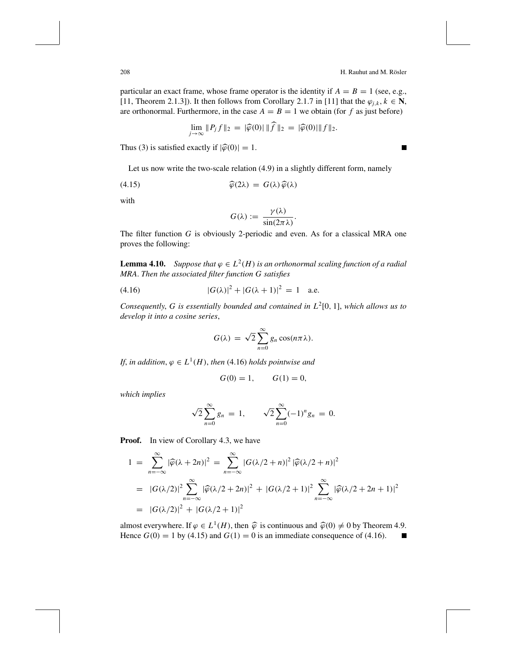208 **H. Rauhut and M. Rösler** 

particular an exact frame, whose frame operator is the identity if  $A = B = 1$  (see, e.g., [11, Theorem 2.1.3]). It then follows from Corollary 2.1.7 in [11] that the  $\varphi_{i,k}$ ,  $k \in \mathbb{N}$ , are orthonormal. Furthermore, in the case  $A = B = 1$  we obtain (for f as just before)

$$
\lim_{j\to\infty}||P_j f||_2 = |\widehat{\varphi}(0)| ||f||_2 = |\widehat{\varphi}(0)| ||f||_2.
$$

Thus (3) is satisfied exactly if  $|\hat{\varphi}(0)| = 1$ .

Let us now write the two-scale relation (4.9) in a slightly different form, namely

(4.15) 
$$
\widehat{\varphi}(2\lambda) = G(\lambda)\widehat{\varphi}(\lambda)
$$

with

$$
G(\lambda) := \frac{\gamma(\lambda)}{\sin(2\pi\lambda)}.
$$

The filter function *G* is obviously 2-periodic and even. As for a classical MRA one proves the following:

**Lemma 4.10.** *Suppose that*  $\varphi \in L^2(H)$  *is an orthonormal scaling function of a radial MRA*. *Then the associated filter function G satisfies*

(4.16) 
$$
|G(\lambda)|^2 + |G(\lambda + 1)|^2 = 1
$$
 a.e.

*Consequently*, *G is essentially bounded and contained in L*2[0, 1], *which allows us to develop it into a cosine series*,

$$
G(\lambda) = \sqrt{2} \sum_{n=0}^{\infty} g_n \cos(n\pi\lambda).
$$

*If, in addition,*  $\varphi \in L^1(H)$ *, then* (4.16) *holds pointwise and* 

$$
G(0) = 1, \qquad G(1) = 0,
$$

*which implies*

$$
\sqrt{2}\sum_{n=0}^{\infty}g_n = 1, \qquad \sqrt{2}\sum_{n=0}^{\infty}(-1)^n g_n = 0.
$$

**Proof.** In view of Corollary 4.3, we have

$$
1 = \sum_{n=-\infty}^{\infty} |\widehat{\varphi}(\lambda + 2n)|^2 = \sum_{n=-\infty}^{\infty} |G(\lambda/2 + n)|^2 |\widehat{\varphi}(\lambda/2 + n)|^2
$$
  
=  $|G(\lambda/2)|^2 \sum_{n=-\infty}^{\infty} |\widehat{\varphi}(\lambda/2 + 2n)|^2 + |G(\lambda/2 + 1)|^2 \sum_{n=-\infty}^{\infty} |\widehat{\varphi}(\lambda/2 + 2n + 1)|^2$   
=  $|G(\lambda/2)|^2 + |G(\lambda/2 + 1)|^2$ 

almost everywhere. If  $\varphi \in L^1(H)$ , then  $\widehat{\varphi}$  is continuous and  $\widehat{\varphi}(0) \neq 0$  by Theorem 4.9. Hence  $G(0) = 1$  by (4.15) and  $G(1) = 0$  is an immediate consequence of (4.16).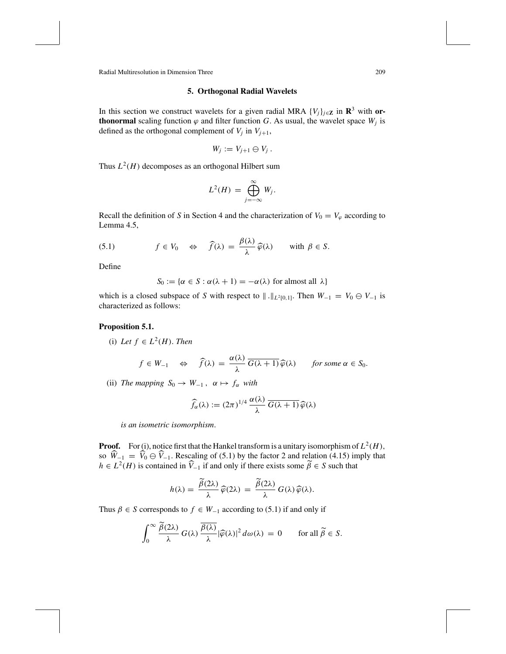## **5. Orthogonal Radial Wavelets**

In this section we construct wavelets for a given radial MRA  $\{V_j\}_{j \in \mathbb{Z}}$  in  $\mathbb{R}^3$  with or**thonormal** scaling function  $\varphi$  and filter function *G*. As usual, the wavelet space  $W_j$  is defined as the orthogonal complement of  $V_j$  in  $V_{j+1}$ ,

$$
W_j := V_{j+1} \ominus V_j.
$$

Thus  $L^2(H)$  decomposes as an orthogonal Hilbert sum

$$
L^2(H) = \bigoplus_{j=-\infty}^{\infty} W_j.
$$

Recall the definition of *S* in Section 4 and the characterization of  $V_0 = V_\varphi$  according to Lemma 4.5,

(5.1) 
$$
f \in V_0 \iff \hat{f}(\lambda) = \frac{\beta(\lambda)}{\lambda} \hat{\varphi}(\lambda)
$$
 with  $\beta \in S$ .

Define

$$
S_0 := \{ \alpha \in S : \alpha(\lambda + 1) = -\alpha(\lambda) \text{ for almost all } \lambda \}
$$

which is a closed subspace of *S* with respect to  $\| \cdot \|_{L^2[0,1]}$ . Then  $W_{-1} = V_0 \oplus V_{-1}$  is characterized as follows:

# **Proposition 5.1.**

(i) Let  $f \in L^2(H)$ . Then

$$
f \in W_{-1}
$$
  $\Leftrightarrow$   $\widehat{f}(\lambda) = \frac{\alpha(\lambda)}{\lambda} \overline{G(\lambda+1)} \widehat{\varphi}(\lambda)$  for some  $\alpha \in S_0$ .

(ii) *The mapping*  $S_0 \rightarrow W_{-1}$ ,  $\alpha \mapsto f_\alpha$  *with* 

$$
\widehat{f}_{\alpha}(\lambda) := (2\pi)^{1/4} \, \frac{\alpha(\lambda)}{\lambda} \, \overline{G(\lambda+1)} \, \widehat{\varphi}(\lambda)
$$

*is an isometric isomorphism*.

**Proof.** For (i), notice first that the Hankel transform is a unitary isomorphism of  $L^2(H)$ , so  $W_{-1} = V_0 \oplus V_{-1}$ . Rescaling of (5.1) by the factor 2 and relation (4.15) imply that  $h \in L^2(H)$  is contained in  $\widehat{V}_{-1}$  if and only if there exists some  $\widetilde{\beta} \in S$  such that

$$
h(\lambda) = \frac{\widetilde{\beta}(2\lambda)}{\lambda} \widehat{\varphi}(2\lambda) = \frac{\widetilde{\beta}(2\lambda)}{\lambda} G(\lambda) \widehat{\varphi}(\lambda).
$$

Thus  $\beta \in S$  corresponds to  $f \in W_{-1}$  according to (5.1) if and only if

$$
\int_0^\infty \frac{\widetilde{\beta}(2\lambda)}{\lambda} G(\lambda) \frac{\overline{\beta(\lambda)}}{\lambda} |\widehat{\varphi}(\lambda)|^2 d\omega(\lambda) = 0 \quad \text{for all } \widetilde{\beta} \in S.
$$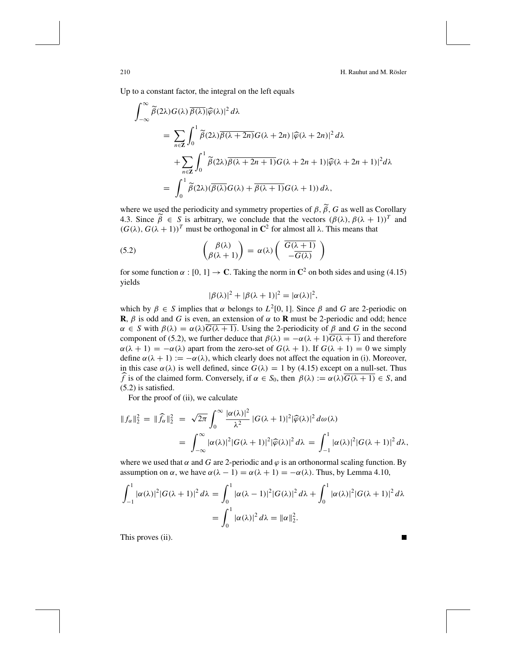Up to a constant factor, the integral on the left equals

$$
\int_{-\infty}^{\infty} \widetilde{\beta}(2\lambda) G(\lambda) \overline{\beta(\lambda)} |\widehat{\varphi}(\lambda)|^2 d\lambda
$$
  
= 
$$
\sum_{n \in \mathbf{Z}} \int_0^1 \widetilde{\beta}(2\lambda) \overline{\beta(\lambda + 2n)} G(\lambda + 2n) |\widehat{\varphi}(\lambda + 2n)|^2 d\lambda
$$
  
+ 
$$
\sum_{n \in \mathbf{Z}} \int_0^1 \widetilde{\beta}(2\lambda) \overline{\beta(\lambda + 2n + 1)} G(\lambda + 2n + 1) |\widehat{\varphi}(\lambda + 2n + 1)|^2 d\lambda
$$
  
= 
$$
\int_0^1 \widetilde{\beta}(2\lambda) (\overline{\beta(\lambda)} G(\lambda) + \overline{\beta(\lambda + 1)} G(\lambda + 1)) d\lambda,
$$

where we used the periodicity and symmetry properties of  $\beta$ ,  $\beta$ ,  $G$  as well as Corollary<br>4.2. Since  $\tilde{\beta}$   $\in$  S is exhitant, we sensited that the vectors  $(\beta(1), \beta(1), 1)^T$  and 4.3. Since  $\tilde{\beta} \in S$  is arbitrary, we conclude that the vectors  $(\beta(\lambda), \beta(\lambda + 1))^T$  and (*G*( $\lambda$ ), *G*( $\lambda$  + 1))<sup>*T*</sup> must be orthogonal in **C**<sup>2</sup> for almost all  $\lambda$ . This means that

(5.2) 
$$
\begin{pmatrix} \beta(\lambda) \\ \beta(\lambda+1) \end{pmatrix} = \alpha(\lambda) \begin{pmatrix} \overline{G(\lambda+1)} \\ -\overline{G(\lambda)} \end{pmatrix}
$$

for some function  $\alpha$  : [0, 1]  $\rightarrow$  **C**. Taking the norm in  $\mathbb{C}^2$  on both sides and using (4.15) yields

$$
|\beta(\lambda)|^2 + |\beta(\lambda + 1)|^2 = |\alpha(\lambda)|^2,
$$

which by  $\beta \in S$  implies that  $\alpha$  belongs to  $L^2[0, 1]$ . Since  $\beta$  and G are 2-periodic on **R**,  $\beta$  is odd and *G* is even, an extension of  $\alpha$  to **R** must be 2-periodic and odd; hence  $\alpha \in S$  with  $\beta(\lambda) = \alpha(\lambda)G(\lambda + 1)$ . Using the 2-periodicity of  $\beta$  and G in the second component of (5.2), we further deduce that  $\beta(\lambda) = -\alpha(\lambda + 1)G(\lambda + 1)$  and therefore  $\alpha(\lambda + 1) = -\alpha(\lambda)$  apart from the zero-set of  $G(\lambda + 1)$ . If  $G(\lambda + 1) = 0$  we simply define  $\alpha(\lambda + 1) := -\alpha(\lambda)$ , which clearly does not affect the equation in (i). Moreover, in this case  $\alpha(\lambda)$  is well defined, since  $G(\lambda) = 1$  by (4.15) except on a null-set. Thus *f* is of the claimed form. Conversely, if  $\alpha \in S_0$ , then  $\beta(\lambda) := \alpha(\lambda)\overline{G(\lambda+1)} \in S$ , and (5.2) is satisfied.

For the proof of (ii), we calculate

$$
||f_{\alpha}||_2^2 = ||\widehat{f}_{\alpha}||_2^2 = \sqrt{2\pi} \int_0^{\infty} \frac{|\alpha(\lambda)|^2}{\lambda^2} |G(\lambda + 1)|^2 |\widehat{\varphi}(\lambda)|^2 d\omega(\lambda)
$$
  
= 
$$
\int_{-\infty}^{\infty} |\alpha(\lambda)|^2 |G(\lambda + 1)|^2 |\widehat{\varphi}(\lambda)|^2 d\lambda = \int_{-1}^1 |\alpha(\lambda)|^2 |G(\lambda + 1)|^2 d\lambda,
$$

where we used that  $\alpha$  and  $G$  are 2-periodic and  $\varphi$  is an orthonormal scaling function. By assumption on  $\alpha$ , we have  $\alpha(\lambda - 1) = \alpha(\lambda + 1) = -\alpha(\lambda)$ . Thus, by Lemma 4.10,

$$
\int_{-1}^{1} |\alpha(\lambda)|^2 |G(\lambda+1)|^2 d\lambda = \int_{0}^{1} |\alpha(\lambda-1)|^2 |G(\lambda)|^2 d\lambda + \int_{0}^{1} |\alpha(\lambda)|^2 |G(\lambda+1)|^2 d\lambda
$$

$$
= \int_{0}^{1} |\alpha(\lambda)|^2 d\lambda = ||\alpha||_2^2.
$$

This proves (ii).

∞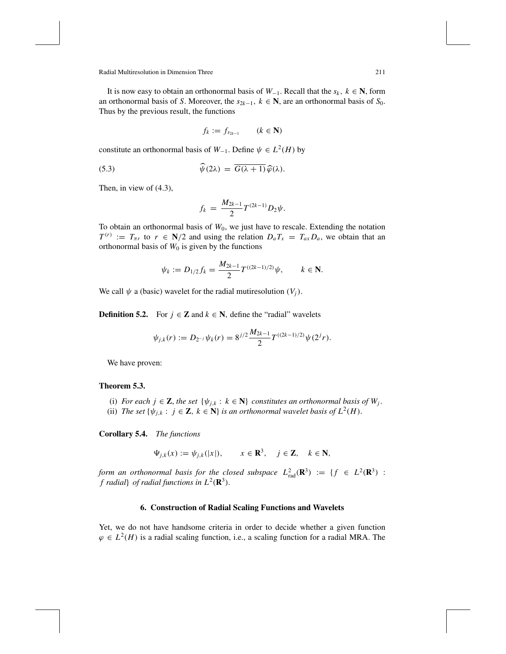It is now easy to obtain an orthonormal basis of  $W_{-1}$ . Recall that the  $s_k$ ,  $k \in \mathbb{N}$ , form an orthonormal basis of *S*. Moreover, the  $s_{2k-1}$ ,  $k \in \mathbb{N}$ , are an orthonormal basis of  $S_0$ . Thus by the previous result, the functions

$$
f_k := f_{s_{2k-1}} \qquad (k \in \mathbf{N})
$$

constitute an orthonormal basis of  $W_{-1}$ . Define  $\psi \in L^2(H)$  by

(5.3) 
$$
\widehat{\psi}(2\lambda) = \overline{G(\lambda+1)}\widehat{\varphi}(\lambda).
$$

Then, in view of (4.3),

$$
f_k = \frac{M_{2k-1}}{2} T^{(2k-1)} D_2 \psi.
$$

To obtain an orthonormal basis of  $W_0$ , we just have to rescale. Extending the notation  $T^{(r)} := T_{\pi r}$  to  $r \in N/2$  and using the relation  $D_a T_x = T_{ax} D_a$ , we obtain that an orthonormal basis of  $W_0$  is given by the functions

$$
\psi_k := D_{1/2} f_k = \frac{M_{2k-1}}{2} T^{((2k-1)/2)} \psi, \qquad k \in \mathbb{N}.
$$

We call  $\psi$  a (basic) wavelet for the radial mutiresolution  $(V_i)$ .

**Definition 5.2.** For  $j \in \mathbb{Z}$  and  $k \in \mathbb{N}$ , define the "radial" wavelets

$$
\psi_{j,k}(r) := D_{2^{-j}} \psi_k(r) = 8^{j/2} \frac{M_{2k-1}}{2} T^{((2k-1)/2)} \psi(2^j r).
$$

We have proven:

# **Theorem 5.3.**

- (i) *For each j*  $\in \mathbb{Z}$ , *the set* { $\psi_{j,k}$  :  $k \in \mathbb{N}$ } *constitutes an orthonormal basis of*  $W_j$ .
- (ii) *The set*  $\{\psi_{j,k} : j \in \mathbb{Z}, k \in \mathbb{N}\}\$  *is an orthonormal wavelet basis of*  $L^2(H)$ .

**Corollary 5.4.** *The functions*

$$
\Psi_{j,k}(x) := \psi_{j,k}(|x|), \qquad x \in \mathbf{R}^3, \quad j \in \mathbf{Z}, \quad k \in \mathbf{N},
$$

*form an orthonormal basis for the closed subspace*  $L_{rad}^2(\mathbf{R}^3) := \{ f \in L^2(\mathbf{R}^3) :$ *f radial*} *of radial functions in*  $L^2(\mathbf{R}^3)$ .

## **6. Construction of Radial Scaling Functions and Wavelets**

Yet, we do not have handsome criteria in order to decide whether a given function  $\varphi \in L^2(H)$  is a radial scaling function, i.e., a scaling function for a radial MRA. The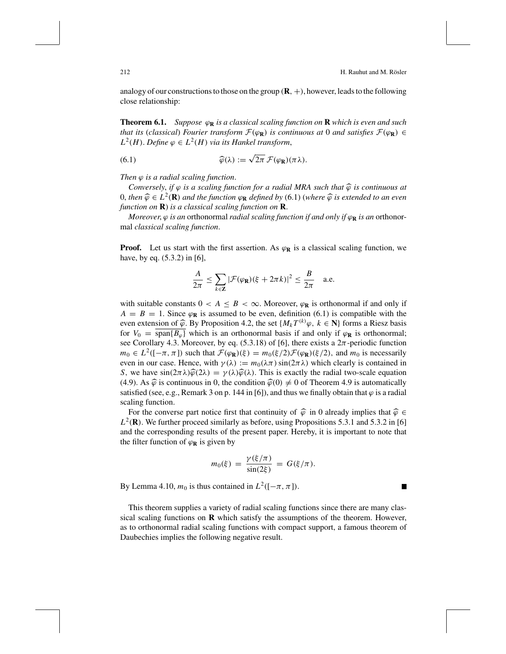T

analogy of our constructions to those on the group  $(\mathbf{R}, +)$ , however, leads to the following close relationship:

**Theorem 6.1.** *Suppose* ϕ**<sup>R</sup>** *is a classical scaling function on* **R** *which is even and such that its* (*classical*) *Fourier transform*  $\mathcal{F}(\varphi_R)$  *is continuous at* 0 *and satisfies*  $\mathcal{F}(\varphi_R) \in$  $L^2(H)$ . *Define*  $\varphi \in L^2(H)$  *via its Hankel transform*,

(6.1) 
$$
\widehat{\varphi}(\lambda) := \sqrt{2\pi} \,\mathcal{F}(\varphi_{\mathbf{R}})(\pi\lambda).
$$

*Then*  $\varphi$  *is a radial scaling function.* 

*Conversely, if*  $\varphi$  *is a scaling function for a radial MRA such that*  $\widehat{\varphi}$  *is continuous at* 0, *then*  $\widehat{\varphi}$  ∈ *L*<sup>2</sup>(**R**) *and the function*  $\varphi$ **R** *defined by* (6.1) (*where*  $\widehat{\varphi}$  *is extended to an even function on* **R**) *is a classical scaling function on* **R**.

*Moreover,*  $\varphi$  *is an* orthonormal *radial scaling function if and only if*  $\varphi_R$  *is an* orthonormal *classical scaling function*.

**Proof.** Let us start with the first assertion. As  $\varphi_R$  is a classical scaling function, we have, by eq. (5.3.2) in [6],

$$
\frac{A}{2\pi} \le \sum_{k \in \mathbf{Z}} |\mathcal{F}(\varphi_{\mathbf{R}})(\xi + 2\pi k)|^2 \le \frac{B}{2\pi} \quad \text{a.e.}
$$

with suitable constants  $0 < A \leq B < \infty$ . Moreover,  $\varphi_R$  is orthonormal if and only if  $A = B = 1$ . Since  $\varphi_R$  is assumed to be even, definition (6.1) is compatible with the even extension of  $\widehat{\varphi}$ . By Proposition 4.2, the set  $\{M_k T^{(k)}\varphi, k \in \mathbb{N}\}\$  forms a Riesz basis for  $V_0 = \frac{\text{span}\{R_k\}}{\text{span}\{R_k\}}$  which is an orthonormal basis if and only if  $\varphi$  is orthonormal for  $V_0 = \overline{\text{span}{B_\varphi}}$  which is an orthonormal basis if and only if  $\varphi_R$  is orthonormal; see Corollary 4.3. Moreover, by eq. (5.3.18) of [6], there exists a  $2\pi$ -periodic function *m*<sub>0</sub> ∈  $L^2([-π, π])$  such that  $\mathcal{F}(\varphi_R)(\xi) = m_0(\xi/2)\mathcal{F}(\varphi_R)(\xi/2)$ , and  $m_0$  is necessarily even in our case. Hence, with  $\gamma(\lambda) := m_0(\lambda \pi) \sin(2\pi \lambda)$  which clearly is contained in *S*, we have  $\sin(2\pi\lambda)\hat{\varphi}(2\lambda) = \gamma(\lambda)\hat{\varphi}(\lambda)$ . This is exactly the radial two-scale equation (4.9). As  $\hat{\varphi}$  is continuous in 0, the condition  $\hat{\varphi}(0) \neq 0$  of Theorem 4.9 is automatically satisfied (see, e.g., Remark 3 on p. 144 in [6]), and thus we finally obtain that  $\varphi$  is a radial scaling function.

For the converse part notice first that continuity of  $\hat{\varphi}$  in 0 already implies that  $\hat{\varphi} \in$  $L^2(\mathbf{R})$ . We further proceed similarly as before, using Propositions 5.3.1 and 5.3.2 in [6] and the corresponding results of the present paper. Hereby, it is important to note that the filter function of  $\varphi_R$  is given by

$$
m_0(\xi) = \frac{\gamma(\xi/\pi)}{\sin(2\xi)} = G(\xi/\pi).
$$

By Lemma 4.10,  $m_0$  is thus contained in  $L^2([-\pi, \pi])$ .

This theorem supplies a variety of radial scaling functions since there are many classical scaling functions on **R** which satisfy the assumptions of the theorem. However, as to orthonormal radial scaling functions with compact support, a famous theorem of Daubechies implies the following negative result.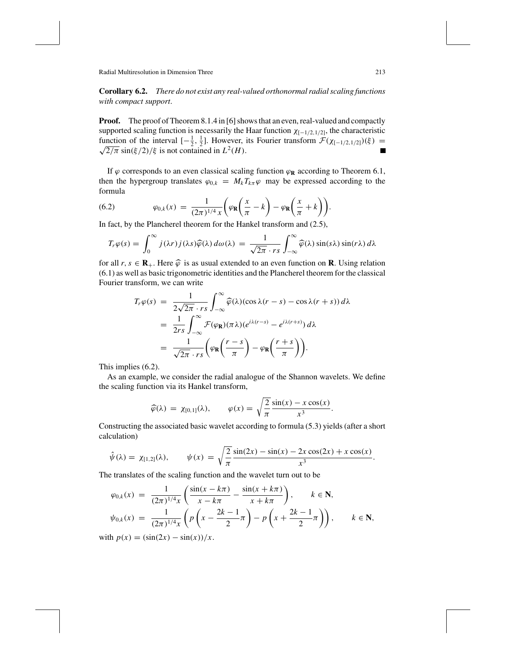**Corollary 6.2.** *There do not exist any real-valued orthonormal radial scaling functions with compact support*.

**Proof.** The proof of Theorem 8.1.4 in [6] shows that an even, real-valued and compactly supported scaling function is necessarily the Haar function  $\chi_{[-1/2,1/2]}$ , the characteristic function of the interval  $[-\frac{1}{2}, \frac{1}{2}]$ . However, its Fourier transform  $\mathcal{F}(\chi_{[-1/2,1/2]})(\xi) = \sqrt{2/\pi} \sin(\xi/2)/\xi$  is not contained in  $L^2(H)$ .

If  $\varphi$  corresponds to an even classical scaling function  $\varphi_R$  according to Theorem 6.1, then the hypergroup translates  $\varphi_{0,k} = M_k T_{k\pi} \varphi$  may be expressed according to the formula *x*  $\mathcal{L} = \mathcal{L}$ *x*

(6.2) 
$$
\varphi_{0,k}(x) = \frac{1}{(2\pi)^{1/4}x} \bigg( \varphi_{\mathbf{R}} \bigg( \frac{x}{\pi} - k \bigg) - \varphi_{\mathbf{R}} \bigg( \frac{x}{\pi} + k \bigg) \bigg).
$$

In fact, by the Plancherel theorem for the Hankel transform and (2.5),

$$
T_r \varphi(s) = \int_0^\infty j(\lambda r) j(\lambda s) \widehat{\varphi}(\lambda) d\omega(\lambda) = \frac{1}{\sqrt{2\pi} \cdot rs} \int_{-\infty}^\infty \widehat{\varphi}(\lambda) \sin(s\lambda) \sin(r\lambda) d\lambda
$$

for all  $r, s \in \mathbf{R}_+$ . Here  $\widehat{\varphi}$  is as usual extended to an even function on **R**. Using relation (6.1) as well as basic trigonometric identities and the Plancherel theorem for the classical Fourier transform, we can write

$$
T_r \varphi(s) = \frac{1}{2\sqrt{2\pi} \cdot rs} \int_{-\infty}^{\infty} \widehat{\varphi}(\lambda) (\cos \lambda (r - s) - \cos \lambda (r + s)) d\lambda
$$
  
= 
$$
\frac{1}{2rs} \int_{-\infty}^{\infty} \mathcal{F}(\varphi_{\mathbf{R}}) (\pi \lambda) (e^{i\lambda (r - s)} - e^{i\lambda (r + s)}) d\lambda
$$
  
= 
$$
\frac{1}{\sqrt{2\pi} \cdot rs} \bigg( \varphi_{\mathbf{R}} \bigg( \frac{r - s}{\pi} \bigg) - \varphi_{\mathbf{R}} \bigg( \frac{r + s}{\pi} \bigg) \bigg).
$$

This implies (6.2).

As an example, we consider the radial analogue of the Shannon wavelets. We define the scaling function via its Hankel transform,

$$
\widehat{\varphi}(\lambda) = \chi_{[0,1]}(\lambda), \qquad \varphi(x) = \sqrt{\frac{2}{\pi}} \frac{\sin(x) - x \cos(x)}{x^3}.
$$

Constructing the associated basic wavelet according to formula (5.3) yields (after a short calculation)

$$
\hat{\psi}(\lambda) = \chi_{[1,2]}(\lambda), \qquad \psi(x) = \sqrt{\frac{2}{\pi}} \frac{\sin(2x) - \sin(x) - 2x \cos(2x) + x \cos(x)}{x^3}.
$$

The translates of the scaling function and the wavelet turn out to be

$$
\varphi_{0,k}(x) = \frac{1}{(2\pi)^{1/4}x} \left( \frac{\sin(x - k\pi)}{x - k\pi} - \frac{\sin(x + k\pi)}{x + k\pi} \right), \qquad k \in \mathbb{N},
$$
  

$$
\psi_{0,k}(x) = \frac{1}{(2\pi)^{1/4}x} \left( p \left( x - \frac{2k - 1}{2} \pi \right) - p \left( x + \frac{2k - 1}{2} \pi \right) \right), \qquad k \in \mathbb{N},
$$

with  $p(x) = (\sin(2x) - \sin(x))/x$ .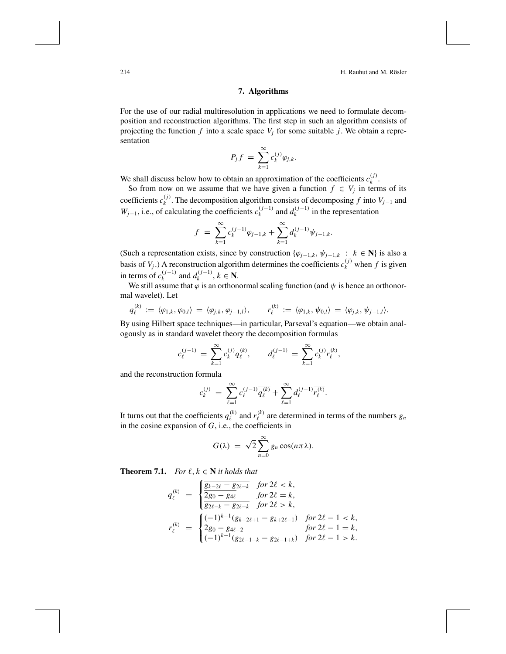214 **H. Rauhut and M. Rösler** 

# **7. Algorithms**

For the use of our radial multiresolution in applications we need to formulate decomposition and reconstruction algorithms. The first step in such an algorithm consists of projecting the function  $f$  into a scale space  $V_j$  for some suitable  $j$ . We obtain a representation

$$
P_j f = \sum_{k=1}^{\infty} c_k^{(j)} \varphi_{j,k}.
$$

We shall discuss below how to obtain an approximation of the coefficients  $c_k^{(j)}$ .

So from now on we assume that we have given a function  $f \in V_j$  in terms of its coefficients  $c_k^{(j)}$ . The decomposition algorithm consists of decomposing *f* into  $V_{j-1}$  and *W*<sub>j−1</sub>, i.e., of calculating the coefficients  $c_k^{(j-1)}$  and  $d_k^{(j-1)}$  in the representation

$$
f = \sum_{k=1}^{\infty} c_k^{(j-1)} \varphi_{j-1,k} + \sum_{k=1}^{\infty} d_k^{(j-1)} \psi_{j-1,k}.
$$

(Such a representation exists, since by construction  $\{\varphi_{j-1,k}, \psi_{j-1,k} : k \in \mathbb{N}\}\)$  is also a basis of  $V_j$ .) A reconstruction algorithm determines the coefficients  $c_k^{(j)}$  when  $f$  is given in terms of  $c_k^{(j-1)}$  and  $d_k^{(j-1)}$ ,  $k \in \mathbb{N}$ .

We still assume that  $\varphi$  is an orthonormal scaling function (and  $\psi$  is hence an orthonormal wavelet). Let

$$
q_{\ell}^{(k)} := \langle \varphi_{1,k}, \varphi_{0,l} \rangle = \langle \varphi_{j,k}, \varphi_{j-1,l} \rangle, \qquad r_{\ell}^{(k)} := \langle \varphi_{1,k}, \psi_{0,l} \rangle = \langle \varphi_{j,k}, \psi_{j-1,l} \rangle.
$$

By using Hilbert space techniques—in particular, Parseval's equation—we obtain analogously as in standard wavelet theory the decomposition formulas

$$
c_{\ell}^{(j-1)} = \sum_{k=1}^{\infty} c_k^{(j)} q_{\ell}^{(k)}, \qquad d_{\ell}^{(j-1)} = \sum_{k=1}^{\infty} c_k^{(j)} r_{\ell}^{(k)},
$$

and the reconstruction formula

$$
c_k^{(j)} = \sum_{\ell=1}^{\infty} c_{\ell}^{(j-1)} \overline{q_{\ell}^{(k)}} + \sum_{\ell=1}^{\infty} d_{\ell}^{(j-1)} \overline{r_{\ell}^{(k)}}.
$$

It turns out that the coefficients  $q_{\ell}^{(k)}$  and  $r_{\ell}^{(k)}$  are determined in terms of the numbers  $g_n$ in the cosine expansion of *G*, i.e., the coefficients in

$$
G(\lambda) = \sqrt{2} \sum_{n=0}^{\infty} g_n \cos(n\pi\lambda).
$$

**Theorem 7.1.** *For*  $\ell, k \in \mathbb{N}$  *it holds that* 

$$
q_{\ell}^{(k)} = \begin{cases} \frac{g_{k-2\ell} - g_{2\ell + k}}{2g_0 - g_{4\ell}} & \text{for } 2\ell < k, \\ \frac{g_{2\ell - k} - g_{2\ell + k}}{2g_{2\ell - k} - g_{2\ell + k}} & \text{for } 2\ell > k, \end{cases}
$$
  

$$
r_{\ell}^{(k)} = \begin{cases} (-1)^{k-1} (g_{k-2\ell+1} - g_{k+2\ell-1}) & \text{for } 2\ell - 1 < k, \\ 2g_0 - g_{4\ell-2} & \text{for } 2\ell - 1 = k, \\ (-1)^{k-1} (g_{2\ell-1-k} - g_{2\ell-1+k}) & \text{for } 2\ell - 1 > k. \end{cases}
$$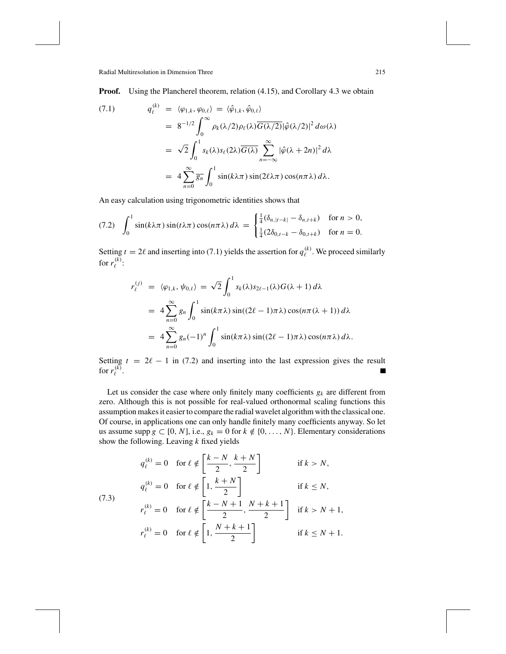**Proof.** Using the Plancherel theorem, relation (4.15), and Corollary 4.3 we obtain

$$
\begin{split}\n(7.1) \qquad \qquad q_{\ell}^{(k)} &= \langle \varphi_{1,k}, \varphi_{0,\ell} \rangle = \langle \hat{\varphi}_{1,k}, \hat{\varphi}_{0,\ell} \rangle \\
&= 8^{-1/2} \int_0^\infty \rho_k(\lambda/2) \rho_\ell(\lambda) \overline{G(\lambda/2)} |\hat{\varphi}(\lambda/2)|^2 \, d\omega(\lambda) \\
&= \sqrt{2} \int_0^1 s_k(\lambda) s_\ell(2\lambda) \overline{G(\lambda)} \sum_{n=-\infty}^\infty |\hat{\varphi}(\lambda+2n)|^2 \, d\lambda \\
&= 4 \sum_{n=0}^\infty \overline{g_n} \int_0^1 \sin(k\lambda\pi) \sin(2\ell\lambda\pi) \cos(n\pi\lambda) \, d\lambda.\n\end{split}
$$

An easy calculation using trigonometric identities shows that

$$
(7.2) \quad \int_0^1 \sin(k\lambda\pi)\sin(t\lambda\pi)\cos(n\pi\lambda)\,d\lambda = \begin{cases} \frac{1}{4}(\delta_{n,|t-k|} - \delta_{n,t+k}) & \text{for } n > 0, \\ \frac{1}{4}(2\delta_{0,t-k} - \delta_{0,t+k}) & \text{for } n = 0. \end{cases}
$$

Setting  $t = 2\ell$  and inserting into (7.1) yields the assertion for  $q_{\ell}^{(k)}$ . We proceed similarly for  $r_{\ell}^{(k)}$ :

$$
r_{\ell}^{(j)} = \langle \varphi_{1,k}, \psi_{0,\ell} \rangle = \sqrt{2} \int_0^1 s_k(\lambda) s_{2\ell-1}(\lambda) G(\lambda+1) d\lambda
$$
  
=  $4 \sum_{n=0}^{\infty} g_n \int_0^1 \sin(k\pi\lambda) \sin((2\ell-1)\pi\lambda) \cos(n\pi(\lambda+1)) d\lambda$   
=  $4 \sum_{n=0}^{\infty} g_n(-1)^n \int_0^1 \sin(k\pi\lambda) \sin((2\ell-1)\pi\lambda) \cos(n\pi\lambda) d\lambda.$ 

Setting  $t = 2\ell - 1$  in (7.2) and inserting into the last expression gives the result for  $r_{\ell}^{(k)}$ .

Let us consider the case where only finitely many coefficients  $g_k$  are different from zero. Although this is not possible for real-valued orthonormal scaling functions this assumption makes it easier to compare the radial wavelet algorithm with the classical one. Of course, in applications one can only handle finitely many coefficients anyway. So let us assume supp  $g \subset [0, N]$ , i.e.,  $g_k = 0$  for  $k \notin \{0, \ldots, N\}$ . Elementary considerations show the following. Leaving *k* fixed yields

$$
q_{\ell}^{(k)} = 0 \quad \text{for } \ell \notin \left[\frac{k-N}{2}, \frac{k+N}{2}\right] \quad \text{if } k > N,
$$

$$
q_{\ell}^{(k)} = 0 \quad \text{for } \ell \notin \left[1, \frac{k+N}{2}\right] \quad \text{if } k \le N,
$$

$$
r_{\ell}^{(k)} = 0 \quad \text{for } \ell \notin \left[\frac{k-N+1}{2}, \frac{N+k+1}{2}\right] \quad \text{if } k > N+1,
$$

$$
r_{\ell}^{(k)} = 0 \quad \text{for } \ell \notin \left[1, \frac{N+k+1}{2}\right] \quad \text{if } k \le N+1.
$$

(7.3)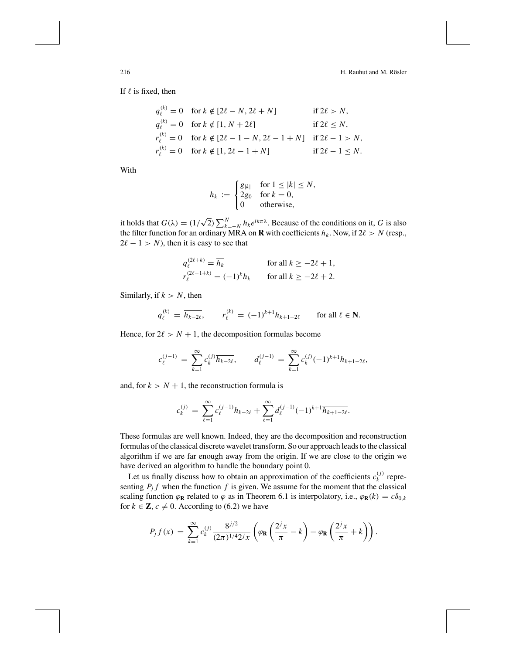If  $\ell$  is fixed, then

$$
q_{\ell}^{(k)} = 0 \quad \text{for } k \notin [2\ell - N, 2\ell + N] \qquad \text{if } 2\ell > N,
$$
  
\n
$$
q_{\ell}^{(k)} = 0 \quad \text{for } k \notin [1, N + 2\ell] \qquad \text{if } 2\ell \le N,
$$
  
\n
$$
r_{\ell}^{(k)} = 0 \quad \text{for } k \notin [2\ell - 1 - N, 2\ell - 1 + N] \quad \text{if } 2\ell - 1 > N,
$$
  
\n
$$
r_{\ell}^{(k)} = 0 \quad \text{for } k \notin [1, 2\ell - 1 + N] \qquad \text{if } 2\ell - 1 \le N.
$$

With

$$
h_k := \begin{cases} g_{|k|} & \text{for } 1 \le |k| \le N, \\ 2g_0 & \text{for } k = 0, \\ 0 & \text{otherwise,} \end{cases}
$$

it holds that  $G(\lambda) = (1/\sqrt{2}) \sum_{k=-N}^{N} h_k e^{ik\pi\lambda}$ . Because of the conditions on it, *G* is also the filter function for an ordinary MRA on **R** with coefficients  $h_k$ . Now, if  $2\ell > N$  (resp.,  $2\ell - 1 > N$ , then it is easy to see that

$$
q_{\ell}^{(2\ell+k)} = \overline{h_k}
$$
 for all  $k \ge -2\ell + 1$ ,  
\n
$$
r_{\ell}^{(2\ell-1+k)} = (-1)^k h_k
$$
 for all  $k \ge -2\ell + 2$ .

Similarly, if  $k > N$ , then

$$
q_{\ell}^{(k)} = \overline{h_{k-2\ell}}, \qquad r_{\ell}^{(k)} = (-1)^{k+1} h_{k+1-2\ell} \qquad \text{for all } \ell \in \mathbb{N}.
$$

Hence, for  $2\ell > N + 1$ , the decomposition formulas become

$$
c_{\ell}^{(j-1)} = \sum_{k=1}^{\infty} c_k^{(j)} \overline{h_{k-2\ell}}, \qquad d_{\ell}^{(j-1)} = \sum_{k=1}^{\infty} c_k^{(j)} (-1)^{k+1} h_{k+1-2\ell},
$$

and, for  $k > N + 1$ , the reconstruction formula is

$$
c_k^{(j)} \, = \, \sum_{\ell=1}^\infty c_\ell^{(j-1)} h_{k-2\ell} + \sum_{\ell=1}^\infty d_\ell^{(j-1)} (-1)^{k+1} \overline{h_{k+1-2\ell}}.
$$

These formulas are well known. Indeed, they are the decomposition and reconstruction formulas of the classical discrete wavelet transform. So our approach leads to the classical algorithm if we are far enough away from the origin. If we are close to the origin we have derived an algorithm to handle the boundary point 0.

Let us finally discuss how to obtain an approximation of the coefficients  $c_k^{(j)}$  representing  $P_j f$  when the function  $f$  is given. We assume for the moment that the classical scaling function  $\varphi_R$  related to  $\varphi$  as in Theorem 6.1 is interpolatory, i.e.,  $\varphi_R(k) = c \delta_{0,k}$ for  $k \in \mathbb{Z}$ ,  $c \neq 0$ . According to (6.2) we have

$$
P_j f(x) = \sum_{k=1}^{\infty} c_k^{(j)} \frac{8^{j/2}}{(2\pi)^{1/4} 2^j x} \left( \varphi_{\mathbf{R}} \left( \frac{2^j x}{\pi} - k \right) - \varphi_{\mathbf{R}} \left( \frac{2^j x}{\pi} + k \right) \right).
$$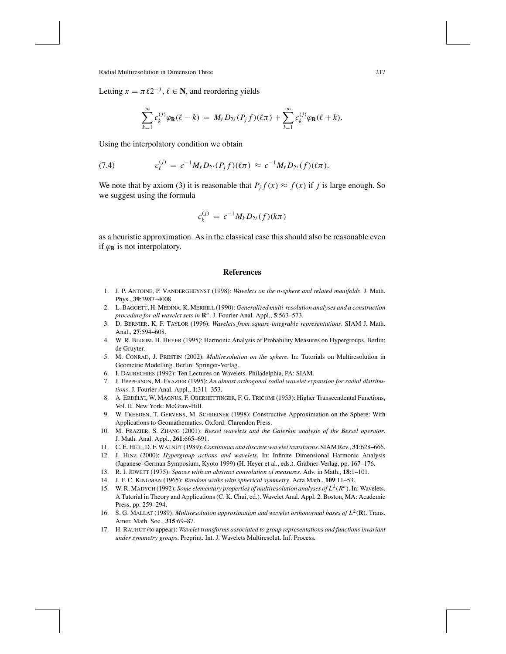Letting  $x = \pi \ell 2^{-j}$ ,  $\ell \in \mathbb{N}$ , and reordering yields

$$
\sum_{k=1}^{\infty} c_k^{(j)} \varphi_{\mathbf{R}}(\ell - k) = M_{\ell} D_{2^{j}}(P_j f)(\ell \pi) + \sum_{l=1}^{\infty} c_k^{(j)} \varphi_{\mathbf{R}}(\ell + k).
$$

Using the interpolatory condition we obtain

(7.4) 
$$
c_{\ell}^{(j)} = c^{-1} M_{\ell} D_{2^{j}} (P_{j} f)(\ell \pi) \approx c^{-1} M_{\ell} D_{2^{j}} (f)(\ell \pi).
$$

We note that by axiom (3) it is reasonable that  $P_j f(x) \approx f(x)$  if *j* is large enough. So we suggest using the formula

$$
c_k^{(j)} = c^{-1} M_k D_{2^j}(f)(k\pi)
$$

as a heuristic approximation. As in the classical case this should also be reasonable even if  $\varphi_R$  is not interpolatory.

#### **References**

- 1. J. P. ANTOINE, P. VANDERGHEYNST (1998): *Wavelets on the n-sphere and related manifolds*. J. Math. Phys., **39**:3987–4008.
- 2. L. BAGGETT, H. MEDINA, K. MERRILL (1990): *Generalized multi-resolution analyses and a construction procedure for all wavelet sets in* **R***<sup>n</sup>* . J. Fourier Anal. Appl., **5**:563–573.
- 3. D. BERNIER, K. F. TAYLOR (1996): *Wavelets from square-integrable representations*. SIAM J. Math. Anal., **27**:594–608.
- 4. W. R. BLOOM, H. HEYER (1995): Harmonic Analysis of Probability Measures on Hypergroups. Berlin: de Gruyter.
- 5. M. CONRAD, J. PRESTIN (2002): *Multiresolution on the sphere*. In: Tutorials on Multiresolution in Geometric Modelling. Berlin: Springer-Verlag.
- 6. I. DAUBECHIES (1992): Ten Lectures on Wavelets. Philadelphia, PA: SIAM.
- 7. J. EPPPERSON, M. FRAZIER (1995): *An almost orthogonal radial wavelet expansion for radial distributions*. J. Fourier Anal. Appl., **1**:311–353.
- 8. A. ERDÉLYI, W. MAGNUS, F. OBERHETTINGER, F. G. TRICOMI (1953): Higher Transcendental Functions, Vol. II. New York: McGraw-Hill.
- 9. W. FREEDEN, T. GERVENS, M. SCHREINER (1998): Constructive Approximation on the Sphere: With Applications to Geomathematics. Oxford: Clarendon Press.
- 10. M. FRAZIER, S. ZHANG (2001): *Bessel wavelets and the Galerkin analysis of the Bessel operator*. J. Math. Anal. Appl., **261**:665–691.
- 11. C. E. HEIL, D. F. WALNUT (1989):*Continuous and discrete wavelet transforms*. SIAM Rev., **31**:628–666.
- 12. J. HINZ (2000): *Hypergroup actions and wavelets*. In: Infinite Dimensional Harmonic Analysis (Japanese–German Symposium, Kyoto 1999) (H. Heyer et al., eds.). Gräbner-Verlag, pp. 167-176.
- 13. R. I. JEWETT (1975): *Spaces with an abstract convolution of measures*. Adv. in Math., **18**:1–101.
- 14. J. F. C. KINGMAN (1965): *Random walks with spherical symmetry*. Acta Math., **109**:11–53.
- 15. W. R. MADYCH (1992): *Some elementary properties of multiresolution analyses of*  $L^2(R^n)$ . In: Wavelets. A Tutorial in Theory and Applications (C. K. Chui, ed.). Wavelet Anal. Appl. 2. Boston, MA: Academic Press, pp. 259–294.
- 16. S. G. MALLAT (1989): *Multiresolution approximation and wavelet orthonormal bases of*  $L^2(\mathbf{R})$ . Trans. Amer. Math. Soc., **315**:69–87.
- 17. H. RAUHUT (to appear): *Wavelet transforms associated to group representations and functions invariant under symmetry groups*. Preprint. Int. J. Wavelets Multiresolut. Inf. Process.